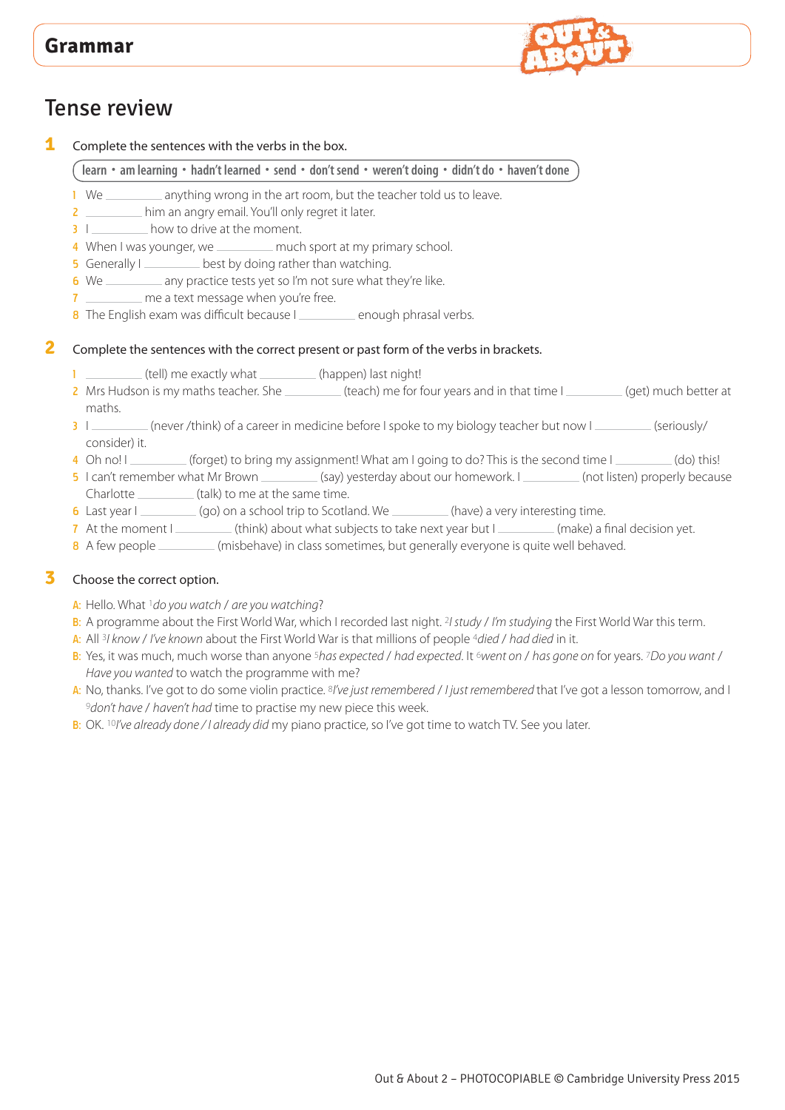

# Tense review

**1** Complete the sentences with the verbs in the box.

**learn • am learning • hadn't learned • send • don't send • weren't doing • didn't do • haven't done**

- 1 We \_\_\_\_\_\_\_\_\_ anything wrong in the art room, but the teacher told us to leave.
- 2 **12** him an angry email. You'll only regret it later.
- 3 I how to drive at the moment.
- 4 When I was younger, we \_\_\_\_\_\_\_\_ much sport at my primary school.
- 5 Generally I <u>second</u> best by doing rather than watching.
- 6 We \_\_\_\_\_\_\_\_\_ any practice tests yet so I'm not sure what they're like.
- 7 **measure a text message when you're free.**
- 8 The English exam was difficult because I enough phrasal verbs.

#### **2** Complete the sentences with the correct present or past form of the verbs in brackets.

- $1$  (tell) me exactly what  $1$  (happen) last night!
- 2 Mrs Hudson is my maths teacher. She (teach) me for four years and in that time I (get) much better at maths.
- 3 I (never /think) of a career in medicine before I spoke to my biology teacher but now I (seriously/ consider) it.
- 4 Oh no! I (forget) to bring my assignment! What am I going to do? This is the second time I (do) this!
- 5 I can't remember what Mr Brown (say) yesterday about our homework. I (not listen) properly because Charlotte \_\_\_\_\_\_\_\_\_\_\_(talk) to me at the same time.
- 6 Last year I (go) on a school trip to Scotland. We (have) a very interesting time.
- 7 At the moment I (think) about what subjects to take next year but I (make) a final decision yet.
- 8 A few people (misbehave) in class sometimes, but generally everyone is quite well behaved.

#### **3** Choose the correct option.

- A: Hello. What 1*do you watch* / *are you watching*?
- B: A programme about the First World War, which I recorded last night. 2*I study* / *I'm studying* the First World War this term.
- A: All 3*I know* / *I've known* about the First World War is that millions of people 4*died* / *had died* in it.
- B: Yes, it was much, much worse than anyone 5*has expected* / *had expected*. It 6*went on* / *has gone on* for years. 7*Do you want* / *Have you wanted* to watch the programme with me?
- A: No, thanks. I've got to do some violin practice. 8*I've just remembered* / *I just remembered* that I've got a lesson tomorrow, and I <sup>9</sup>*don't have* / *haven't had* time to practise my new piece this week.
- B: OK. 10*I've already done / I already did* my piano practice, so I've got time to watch TV. See you later.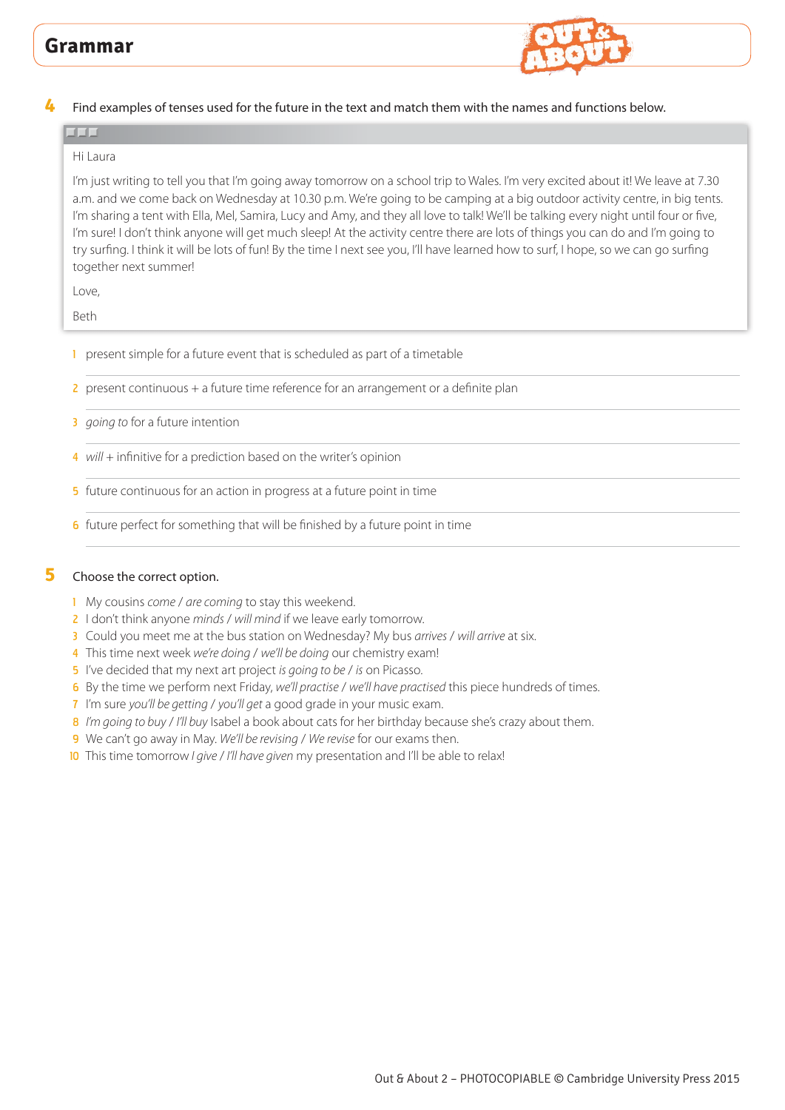

**4** Find examples of tenses used for the future in the text and match them with the names and functions below.

#### Hi Laura

بالال

I'm just writing to tell you that I'm going away tomorrow on a school trip to Wales. I'm very excited about it! We leave at 7.30 a.m. and we come back on Wednesday at 10.30 p.m. We're going to be camping at a big outdoor activity centre, in big tents. I'm sharing a tent with Ella, Mel, Samira, Lucy and Amy, and they all love to talk! We'll be talking every night until four or five, I'm sure! I don't think anyone will get much sleep! At the activity centre there are lots of things you can do and I'm going to try surfing. I think it will be lots of fun! By the time I next see you, I'll have learned how to surf, I hope, so we can go surfing together next summer!

Love,

Beth

- 1 present simple for a future event that is scheduled as part of a timetable
- 2 present continuous + a future time reference for an arrangement or a definite plan
- 3 *going to* for a future intention
- 4 *will* + infinitive for a prediction based on the writer's opinion
- 5 future continuous for an action in progress at a future point in time
- 6 future perfect for something that will be finished by a future point in time

#### **5** Choose the correct option.

- 1 My cousins *come* / *are coming* to stay this weekend.
- 2 I don't think anyone *minds* / *will mind* if we leave early tomorrow.
- 3 Could you meet me at the bus station on Wednesday? My bus *arrives* / *will arrive* at six.
- 4 This time next week *we're doing* / *we'll be doing* our chemistry exam!
- 5 I've decided that my next art project *is going to be* / *is* on Picasso.
- 6 By the time we perform next Friday, *we'll practise* / *we'll have practised* this piece hundreds of times.
- 7 I'm sure *you'll be getting* / *you'll get* a good grade in your music exam.
- 8 *I'm going to buy* / *I'll buy* Isabel a book about cats for her birthday because she's crazy about them.
- 9 We can't go away in May. *We'll be revising* / *We revise* for our exams then.
- 10 This time tomorrow *I give / I'll have given* my presentation and I'll be able to relax!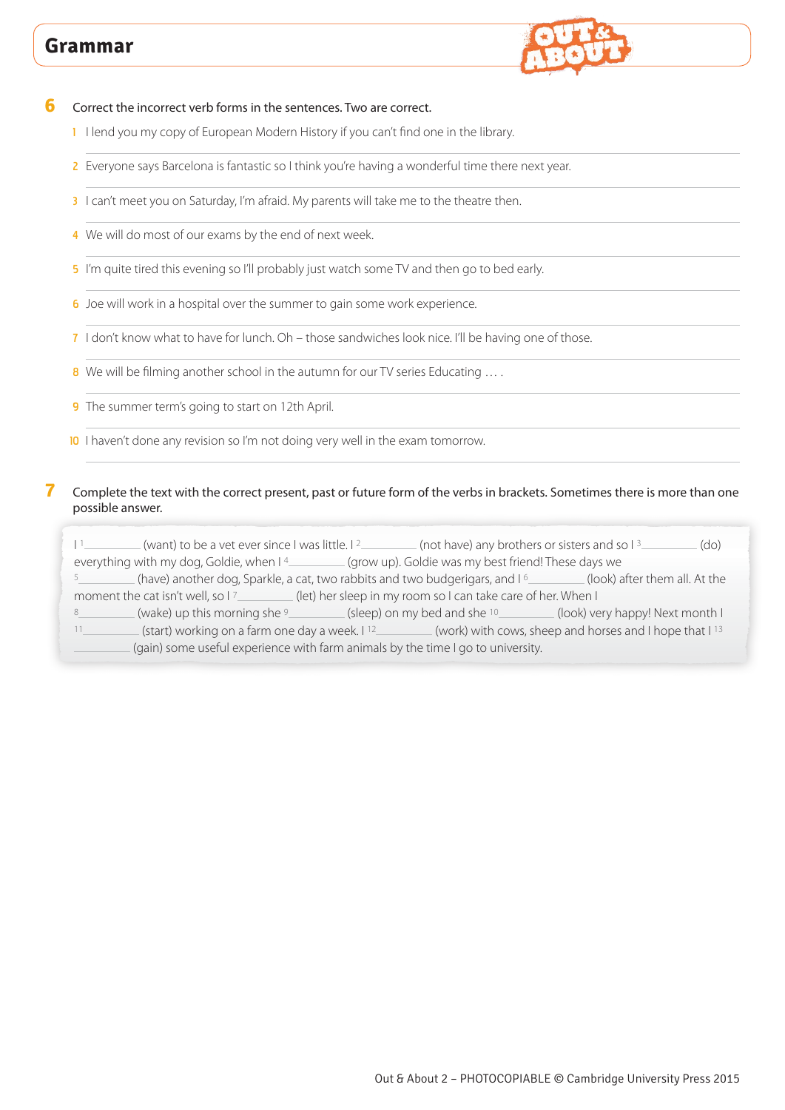

**6** Correct the incorrect verb forms in the sentences. Two are correct.

- 1 I lend you my copy of European Modern History if you can't find one in the library.
- 2 Everyone says Barcelona is fantastic so I think you're having a wonderful time there next year.
- 3 I can't meet you on Saturday, I'm afraid. My parents will take me to the theatre then.
- 4 We will do most of our exams by the end of next week.
- 5 I'm quite tired this evening so I'll probably just watch some TV and then go to bed early.
- 6 Joe will work in a hospital over the summer to gain some work experience.
- 7 I don't know what to have for lunch. Oh those sandwiches look nice. I'll be having one of those.
- 8 We will be filming another school in the autumn for our TV series Educating ....
- 9 The summer term's going to start on 12th April.
- 10 I haven't done any revision so I'm not doing very well in the exam tomorrow.

#### **7** Complete the text with the correct present, past or future form of the verbs in brackets. Sometimes there is more than one possible answer.

I<sup>1</sup> (want) to be a vet ever since I was little. I<sup>2</sup> (not have) any brothers or sisters and so I<sup>3</sup> (do) everything with my dog, Goldie, when  $14$  (grow up). Goldie was my best friend! These days we <sup>5</sup> (have) another dog, Sparkle, a cat, two rabbits and two budgerigars, and  $1<sup>6</sup>$  (look) after them all. At the moment the cat isn't well, so I7\_\_\_\_\_\_\_\_(let) her sleep in my room so I can take care of her. When I 8 (wake) up this morning she 9 (sleep) on my bed and she 10 (look) very happy! Next month I 11\_\_\_\_\_\_\_\_\_\_\_(start) working on a farm one day a week. I <sup>12</sup>\_\_\_\_\_\_\_\_\_\_\_(work) with cows, sheep and horses and I hope that I<sup>13</sup> (gain) some useful experience with farm animals by the time I go to university.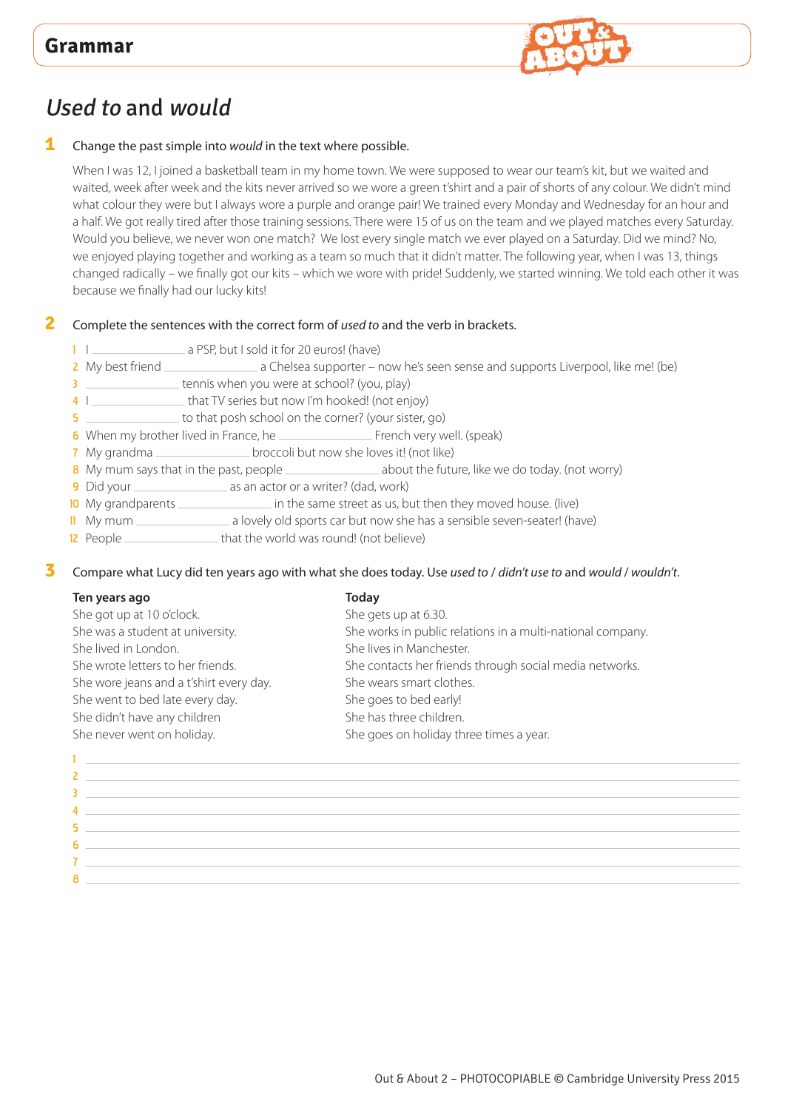

# Used to and would

#### **1** Change the past simple into *would* in the text where possible.

When I was 12, I joined a basketball team in my home town. We were supposed to wear our team's kit, but we waited and waited, week after week and the kits never arrived so we wore a green t'shirt and a pair of shorts of any colour. We didn't mind what colour they were but I always wore a purple and orange pair! We trained every Monday and Wednesday for an hour and a half. We got really tired after those training sessions. There were 15 of us on the team and we played matches every Saturday. Would you believe, we never won one match? We lost every single match we ever played on a Saturday. Did we mind? No, we enjoyed playing together and working as a team so much that it didn't matter. The following year, when I was 13, things changed radically – we finally got our kits – which we wore with pride! Suddenly, we started winning. We told each other it was because we finally had our lucky kits!

#### **2** Complete the sentences with the correct form of *used to* and the verb in brackets.

- 1 |  $\Box$  a PSP, but I sold it for 20 euros! (have)
- 2 My best friend \_\_\_\_\_\_\_\_\_\_\_\_\_\_\_\_\_\_\_\_ a Chelsea supporter now he's seen sense and supports Liverpool, like me! (be)
- 3 **tennis when you were at school?** (you, play)
- 4 I \_\_\_\_\_\_\_\_\_\_\_\_\_\_\_\_\_ that TV series but now I'm hooked! (not enjoy)

5 to that posh school on the corner? (your sister, go)

- 6 When my brother lived in France, he French very well. (speak)
- 7 My grandma \_\_\_\_\_\_\_\_\_\_\_\_\_\_\_\_\_\_\_\_\_broccoli but now she loves it! (not like)
- 8 My mum says that in the past, people \_\_\_\_\_\_\_\_\_\_\_\_\_\_\_\_\_\_\_\_ about the future, like we do today. (not worry)
- 
- 9 Did your as an actor or a writer? (dad, work)  $\equiv$  in the same street as us, but then they moved house. (live)
- 11 My mum a lovely old sports car but now she has a sensible seven-seater! (have)
- 12 People \_\_\_\_\_\_\_\_\_\_\_\_\_\_\_\_\_\_\_\_\_\_\_\_that the world was round! (not believe)

**3** Compare what Lucy did ten years ago with what she does today. Use *used to* / *didn't use to* and *would* / *wouldn't*.

### **Ten years ago Today** She got up at 10 o'clock. She gets up at 6.30. She was a student at university. She works in public relations in a multi-national company. She lived in London. She lives in Manchester. She wrote letters to her friends. She contacts her friends through social media networks. She wore jeans and a t'shirt every day. She wears smart clothes. She went to bed late every day. She goes to bed early! She didn't have any children She has three children. She never went on holiday. She goes on holiday three times a year.

| <u> 1986 - Jan Alexander de Carlos de Carlos de Carlos de Carlos de Carlos de Carlos de Carlos de Carlos de Carlos </u>                                                                                                                   |
|-------------------------------------------------------------------------------------------------------------------------------------------------------------------------------------------------------------------------------------------|
| $\mathbf{Z}$ and $\mathbf{Z}$ are the set of the set of the set of the set of the set of the set of the set of the set of the set of the set of the set of the set of the set of the set of the set of the set of the set of the set      |
| $\overline{3}$ , and the contract of the contract of the contract of the contract of the contract of the contract of the contract of the contract of the contract of the contract of the contract of the contract of the contract o       |
| 4 and 2008 and 2008 and 2008 and 2008 and 2008 and 2008 and 2008 and 2008 and 2008 and 2008 and 2008 and                                                                                                                                  |
| 5 December 2014 19:00:00 PM and the Company of the Company of the Company of the Company of the Company of the                                                                                                                            |
| $\overline{\mathbf{6}}$ , and the contract of the contract of the contract of the contract of the contract of the contract of the contract of the contract of the contract of the contract of the contract of the contract of the contrac |
|                                                                                                                                                                                                                                           |
|                                                                                                                                                                                                                                           |
| <u> 1989 - Johann Stein, marwolaethau (b. 1989)</u>                                                                                                                                                                                       |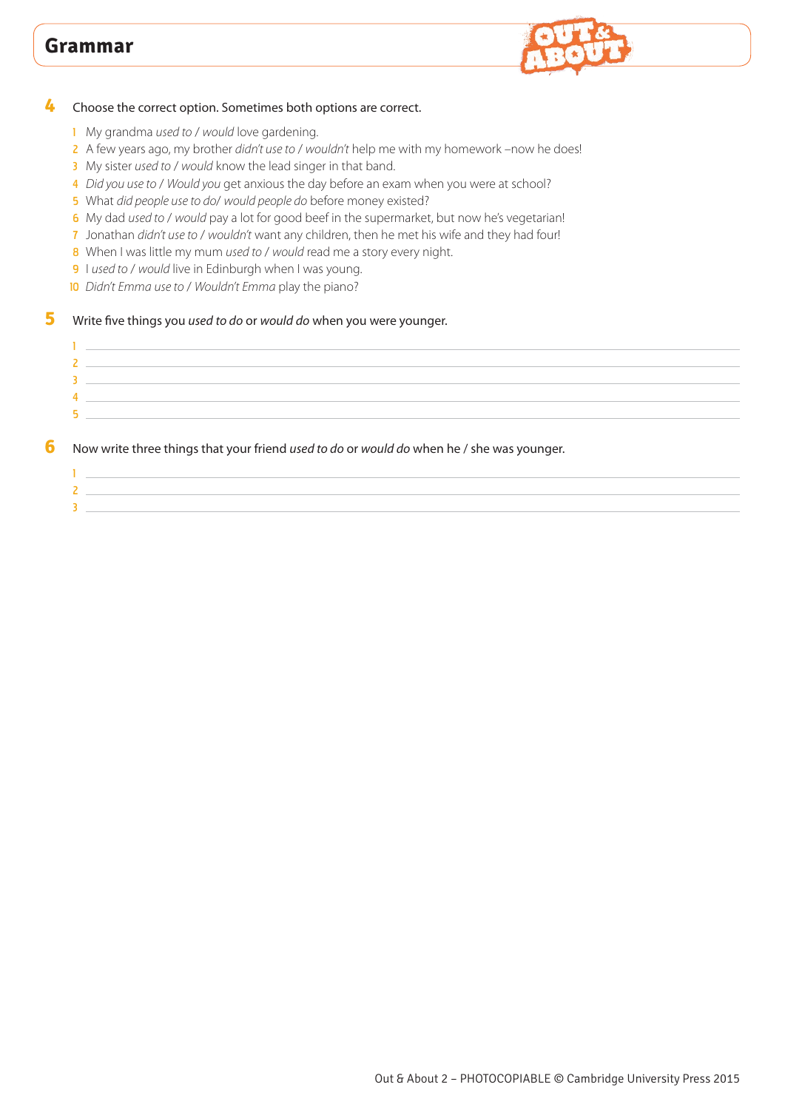

#### Choose the correct option. Sometimes both options are correct.

- My grandma *used to* / *would* love gardening.
- A few years ago, my brother *didn't use to* / *wouldn't* help me with my homework –now he does!
- My sister *used to* / *would* know the lead singer in that band.
- *Did you use to* / *Would you* get anxious the day before an exam when you were at school?
- What *did people use to do*/ *would people do* before money existed?
- My dad *used to* / *would* pay a lot for good beef in the supermarket, but now he's vegetarian!
- Jonathan *didn't use to* / *wouldn't* want any children, then he met his wife and they had four!
- When I was little my mum *used to* / *would* read me a story every night.
- I *used to* / *would* live in Edinburgh when I was young.
- *Didn't Emma use to* / *Wouldn't Emma* play the piano?

#### Write five things you *used to do* or *would do* when you were younger.

| $\sim$ |  |
|--------|--|
|        |  |
|        |  |
| ъ.     |  |
|        |  |

#### Now write three things that your friend *used to do* or *would do* when he / she was younger.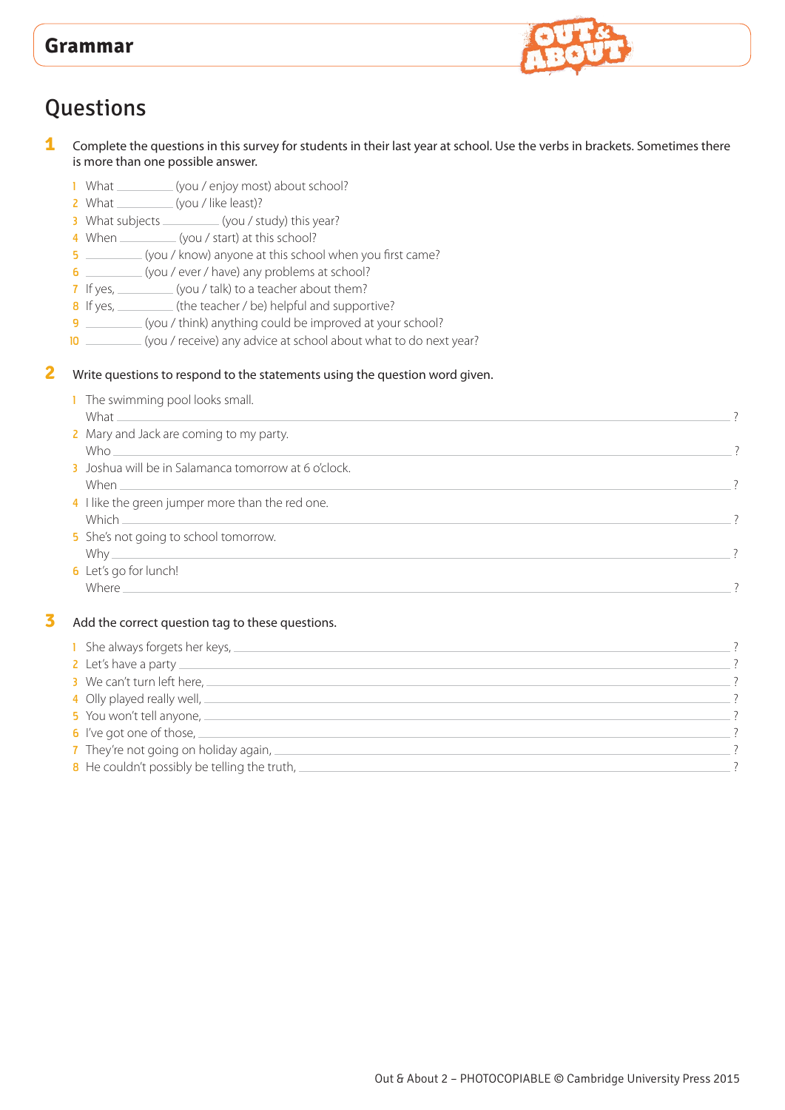

# **Questions**

**1** Complete the questions in this survey for students in their last year at school. Use the verbs in brackets. Sometimes there is more than one possible answer.

- 1 What \_\_\_\_\_\_\_\_\_(you / enjoy most) about school?
- 2 What \_\_\_\_\_\_\_\_\_\_\_(you / like least)?
- 3 What subjects \_\_\_\_\_\_\_\_\_\_ (you / study) this year?
- 4 When (you / start) at this school?
- 5 (you / know) anyone at this school when you first came?
- 6 (you / ever / have) any problems at school?
- 7 If yes, \_\_\_\_\_\_\_\_\_(you / talk) to a teacher about them?
- 8 If yes, \_\_\_\_\_\_\_(the teacher / be) helpful and supportive?
- 9 \_\_\_\_\_\_\_\_\_(you / think) anything could be improved at your school?
- 10 \_\_\_\_\_\_\_\_\_ (you / receive) any advice at school about what to do next year?
- **2** Write questions to respond to the statements using the question word given.

| 1 The swimming pool looks small.<br>What                  |  |
|-----------------------------------------------------------|--|
| 2 Mary and Jack are coming to my party.<br>Who.           |  |
| 3 Joshua will be in Salamanca tomorrow at 6 o'clock.      |  |
| 4 I like the green jumper more than the red one.<br>Which |  |
| 5 She's not going to school tomorrow.<br>Why $\_\_$       |  |
| 6 Let's go for lunch!<br><b>Where</b>                     |  |

#### **3** Add the correct question tag to these questions.

| 1 She always forgets her keys,                          |  |
|---------------------------------------------------------|--|
| 2 Let's have a party $\equiv$                           |  |
| 3 We can't turn left here, $-$                          |  |
| 4 Olly played really well, $\equiv$                     |  |
| 5 You won't tell anyone,                                |  |
| 6 I've got one of those, $\equiv$                       |  |
| 7 They're not going on holiday again, $-$               |  |
| <b>8</b> He couldn't possibly be telling the truth, $=$ |  |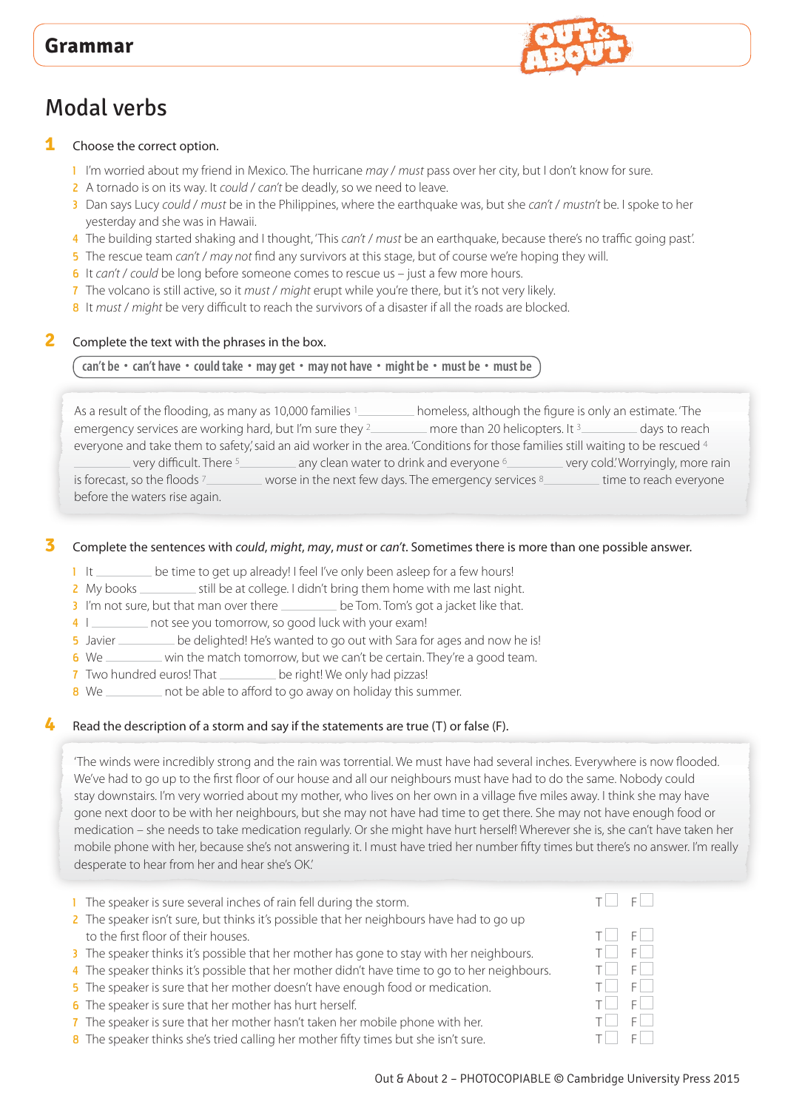# Modal verbs

#### **1** Choose the correct option.

- 1 I'm worried about my friend in Mexico. The hurricane *may* / *must* pass over her city, but I don't know for sure.
- 2 A tornado is on its way. It *could* / *can't* be deadly, so we need to leave.
- 3 Dan says Lucy *could* / *must* be in the Philippines, where the earthquake was, but she *can't* / *mustn't* be. I spoke to her yesterday and she was in Hawaii.
- 4 The building started shaking and I thought, 'This *can't* / *must* be an earthquake, because there's no traffic going past'.
- 5 The rescue team *can't* / *may not* find any survivors at this stage, but of course we're hoping they will.
- 6 It *can't* / *could* be long before someone comes to rescue us just a few more hours.
- 7 The volcano is still active, so it *must* / *might* erupt while you're there, but it's not very likely.
- 8 It *must* / *might* be very difficult to reach the survivors of a disaster if all the roads are blocked.

#### **2** Complete the text with the phrases in the box.

#### **can't be • can't have • could take • may get • may not have • might be • must be • must be**

As a result of the flooding, as many as 10,000 families <sup>1</sup> homeless, although the figure is only an estimate. 'The emergency services are working hard, but I'm sure they <sup>2</sup> more than 20 helicopters. It <sup>3</sup> days to reach everyone and take them to safety,' said an aid worker in the area. 'Conditions for those families still waiting to be rescued 4 very difficult. There 5 **and Section** any clean water to drink and everyone  $6$  very cold.' Worryingly, more rain is forecast, so the floods <sup>7</sup> worse in the next few days. The emergency services 8 time to reach everyone

before the waters rise again.

#### **3** Complete the sentences with *could*, *might*, *may*, *must* or *can't*. Sometimes there is more than one possible answer.

- 1 It be time to get up already! I feel I've only been asleep for a few hours!
- 2 My books still be at college. I didn't bring them home with me last night.
- 3 I'm not sure, but that man over there \_\_\_\_\_\_\_\_ be Tom. Tom's got a jacket like that.
- 4 I \_\_\_\_\_\_\_\_ not see you tomorrow, so good luck with your exam!
- 5 Javier Lettington be delighted! He's wanted to go out with Sara for ages and now he is!
- 6 We \_\_\_\_\_\_\_ win the match tomorrow, but we can't be certain. They're a good team.
- 7 Two hundred euros! That \_\_\_\_\_\_\_\_\_ be right! We only had pizzas!
- 8 We \_\_\_\_\_\_\_\_ not be able to afford to go away on holiday this summer.

#### **4** Read the description of a storm and say if the statements are true (T) or false (F).

'The winds were incredibly strong and the rain was torrential. We must have had several inches. Everywhere is now flooded. We've had to go up to the first floor of our house and all our neighbours must have had to do the same. Nobody could stay downstairs. I'm very worried about my mother, who lives on her own in a village five miles away. I think she may have gone next door to be with her neighbours, but she may not have had time to get there. She may not have enough food or medication – she needs to take medication regularly. Or she might have hurt herself! Wherever she is, she can't have taken her mobile phone with her, because she's not answering it. I must have tried her number fifty times but there's no answer. I'm really desperate to hear from her and hear she's OK.'

- 1 The speaker is sure several inches of rain fell during the storm.
- 2 The speaker isn't sure, but thinks it's possible that her neighbours have had to go up to the first floor of their houses. The first floor of their houses.
- 3 The speaker thinks it's possible that her mother has gone to stay with her neighbours.  $T \Box F \Box F$ <br>4 The speaker thinks it's possible that her mother didn't have time to go to her neighbours.  $T \Box F \Box F$
- 4 The speaker thinks it's possible that her mother didn't have time to go to her neighbours.  $T \Box$
- 5 The speaker is sure that her mother doesn't have enough food or medication.  $\Box$   $\Box$   $\Box$   $\Box$   $\Box$   $\Box$
- 6 The speaker is sure that her mother has hurt herself. The speaker is sure that her mother has hurt herself.
- 7 The speaker is sure that her mother hasn't taken her mobile phone with her.  $T \Box T = F \Box$
- **8** The speaker thinks she's tried calling her mother fifty times but she isn't sure.  $T \Box T$  F

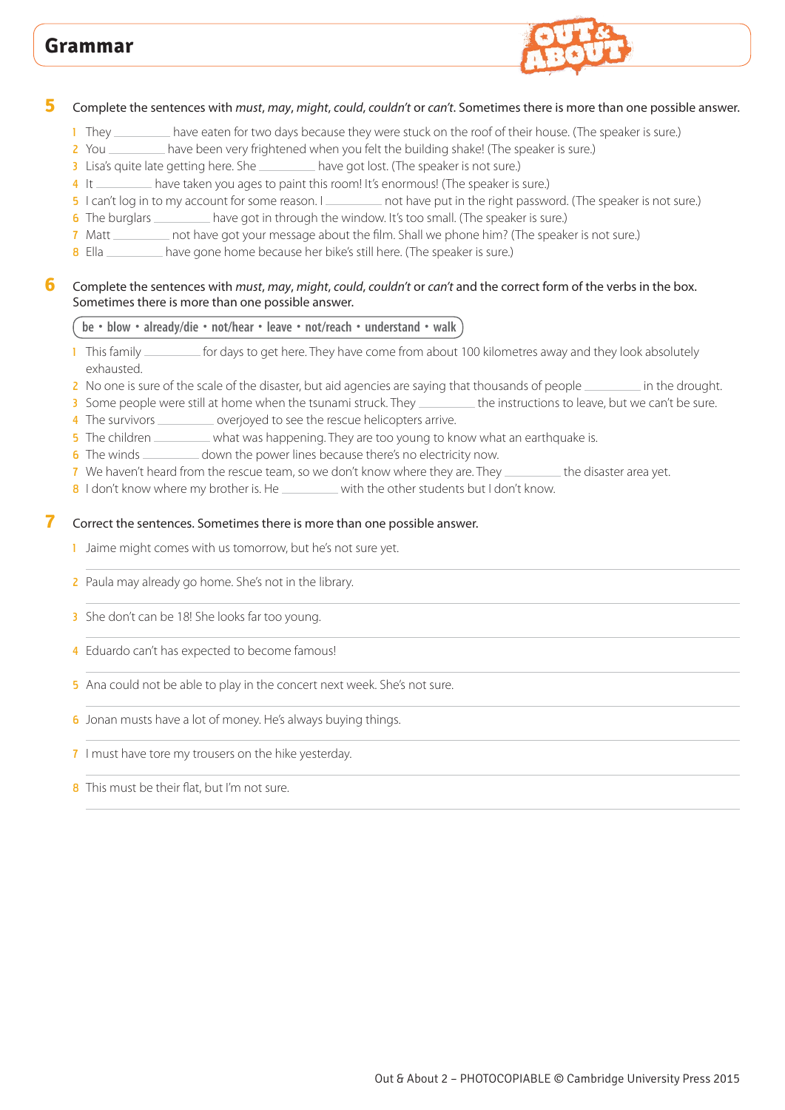

#### **5** Complete the sentences with *must*, *may*, *might*, *could*, *couldn't* or *can't*. Sometimes there is more than one possible answer.

- 1 They \_\_\_\_\_\_\_\_ have eaten for two days because they were stuck on the roof of their house. (The speaker is sure.)
- 2 You \_\_\_\_\_\_\_\_ have been very frightened when you felt the building shake! (The speaker is sure.)
- 3 Lisa's quite late getting here. She \_\_\_\_\_\_\_\_\_ have got lost. (The speaker is not sure.)
- 4 It have taken you ages to paint this room! It's enormous! (The speaker is sure.)
- 5 I can't log in to my account for some reason. I not have put in the right password. (The speaker is not sure.)
- 6 The burglars **have got in through the window. It's too small.** (The speaker is sure.)
- 7 Matt \_\_\_\_\_\_\_ not have got your message about the film. Shall we phone him? (The speaker is not sure.)
- 8 Ella \_\_\_\_\_\_\_\_ have gone home because her bike's still here. (The speaker is sure.)

#### **6** Complete the sentences with *must*, *may*, *might*, *could*, *couldn't* or *can't* and the correct form of the verbs in the box. Sometimes there is more than one possible answer.

#### **be • blow • already/die • not/hear • leave • not/reach • understand • walk**

- 1 This family *for days to get here. They have come from about 100 kilometres away and they look absolutely* exhausted.
- 2 No one is sure of the scale of the disaster, but aid agencies are saying that thousands of people \_\_\_\_\_\_\_\_\_\_ in the drought.
- 3 Some people were still at home when the tsunami struck. They \_\_\_\_\_\_\_\_\_ the instructions to leave, but we can't be sure.
- 4 The survivors \_\_\_\_\_\_\_\_\_\_\_ overjoyed to see the rescue helicopters arrive.
- 5 The children \_\_\_\_\_\_\_\_ what was happening. They are too young to know what an earthquake is.
- 6 The winds \_\_\_\_\_\_\_\_ down the power lines because there's no electricity now.
- 7 We haven't heard from the rescue team, so we don't know where they are. They \_\_\_\_\_\_\_\_\_ the disaster area yet.
- 8 I don't know where my brother is. He with the other students but I don't know.

#### **7** Correct the sentences. Sometimes there is more than one possible answer.

- 1 Jaime might comes with us tomorrow, but he's not sure yet.
- 2 Paula may already go home. She's not in the library.
- 3 She don't can be 18! She looks far too young.
- 4 Eduardo can't has expected to become famous!
- 5 Ana could not be able to play in the concert next week. She's not sure.
- 6 Jonan musts have a lot of money. He's always buying things.
- 7 I must have tore my trousers on the hike yesterday.
- 8 This must be their flat, but I'm not sure.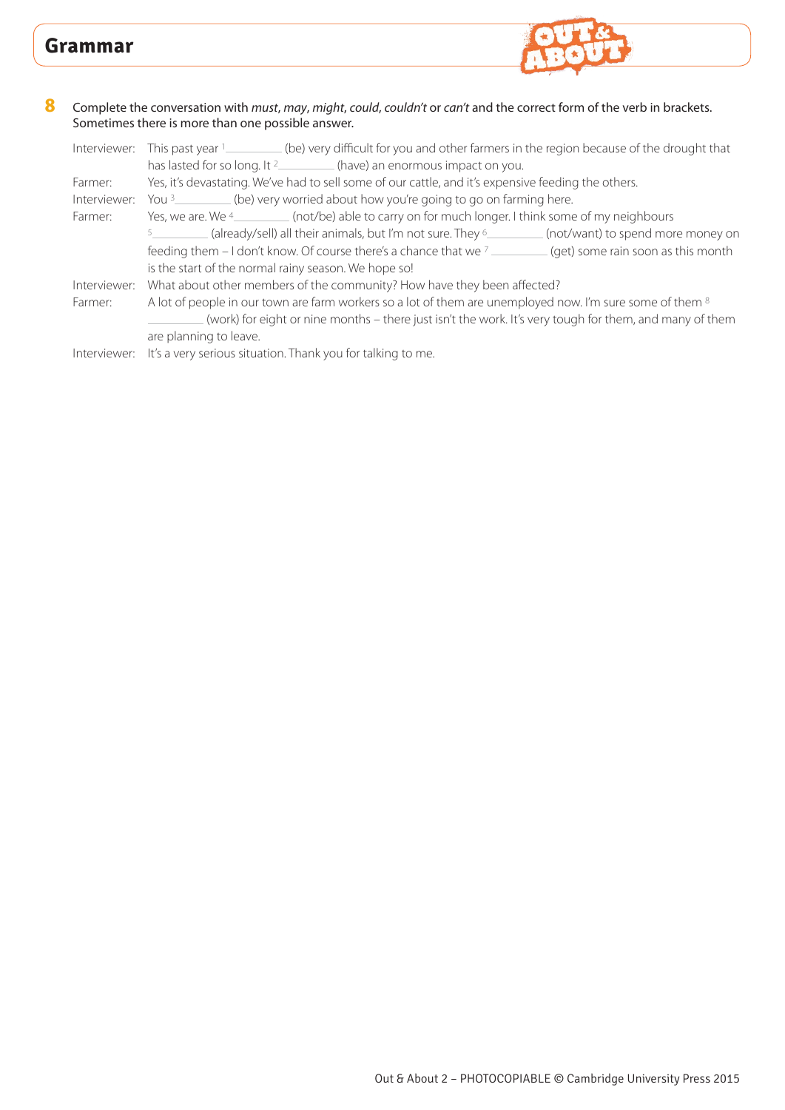

Out & About 2 – PHOTOCOPIABLE © Cambridge University Press 2015

#### **8** Complete the conversation with *must*, *may*, *might*, *could*, *couldn't* or *can't* and the correct form of the verb in brackets. Sometimes there is more than one possible answer.

| Interviewer: | This past year 1__________(be) very difficult for you and other farmers in the region because of the drought that |
|--------------|-------------------------------------------------------------------------------------------------------------------|
|              | has lasted for so long. It <sup>2</sup> (have) an enormous impact on you.                                         |
| Farmer:      | Yes, it's devastating. We've had to sell some of our cattle, and it's expensive feeding the others.               |
| Interviewer: | You <sup>3</sup> __________(be) very worried about how you're going to go on farming here.                        |
| Farmer:      | Yes, we are. We 4_________(not/be) able to carry on for much longer. I think some of my neighbours                |
|              | (already/sell) all their animals, but I'm not sure. They <sup>6</sup> _________(not/want) to spend more money on  |
|              | feeding them – I don't know. Of course there's a chance that we $\frac{7}{2}$ (get) some rain soon as this month  |
|              | is the start of the normal rainy season. We hope so!                                                              |
| Interviewer: | What about other members of the community? How have they been affected?                                           |
| Farmer:      | A lot of people in our town are farm workers so a lot of them are unemployed now. I'm sure some of them 8         |
|              | (work) for eight or nine months – there just isn't the work. It's very tough for them, and many of them           |
|              | are planning to leave.                                                                                            |
|              | Interviewer: It's a very serious situation. Thank you for talking to me.                                          |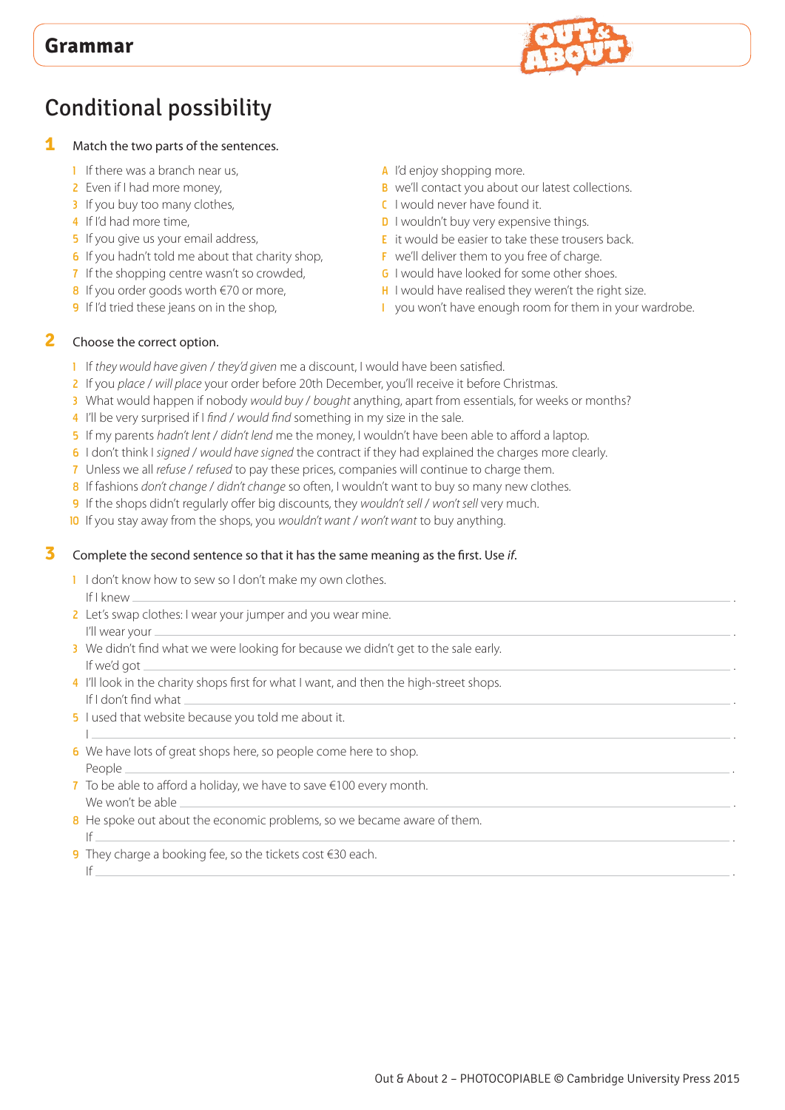

# Conditional possibility

- **1** Match the two parts of the sentences.
	- **1** If there was a branch near us,
	- 2 Even if I had more money,
	- 3 If you buy too many clothes,
	- 4 If I'd had more time,
	- **5** If you give us your email address,
	- **6** If you hadn't told me about that charity shop,
	- 7 If the shopping centre wasn't so crowded,
	- 8 If you order goods worth  $\epsilon$ 70 or more,
	- 9 If I'd tried these jeans on in the shop,
- A I'd enjoy shopping more.
- B we'll contact you about our latest collections.
- C I would never have found it.
- **D** I wouldn't buy very expensive things.
- E it would be easier to take these trousers back.
- F we'll deliver them to you free of charge.
- **G** I would have looked for some other shoes.
- H I would have realised they weren't the right size.
- I you won't have enough room for them in your wardrobe.

#### **2** Choose the correct option.

- 1 If *they would have given* / *they'd given* me a discount, I would have been satisfied.
- 2 If you *place* / *will place* your order before 20th December, you'll receive it before Christmas.
- 3 What would happen if nobody *would buy* / *bought* anything, apart from essentials, for weeks or months?
- 4 I'll be very surprised if I *find* / *would find* something in my size in the sale.
- 5 If my parents *hadn't lent* / *didn't lend* me the money, I wouldn't have been able to afford a laptop.
- 6 I don't think I *signed* / *would have signed* the contract if they had explained the charges more clearly.
- 7 Unless we all *refuse* / *refused* to pay these prices, companies will continue to charge them.
- 8 If fashions *don't change* / *didn't change* so often, I wouldn't want to buy so many new clothes.
- 9 If the shops didn't regularly offer big discounts, they *wouldn't sell* / *won't sell* very much.
- 10 If you stay away from the shops, you *wouldn't want* / *won't want* to buy anything.

#### **3** Complete the second sentence so that it has the same meaning as the first. Use *if*.

- 1 I don't know how to sew so I don't make my own clothes. If I knew .
- 2 Let's swap clothes: I wear your jumper and you wear mine. I'll wear your .
- <sup>3</sup> We didn't find what we were looking for because we didn't get to the sale early. If we'd got .
- 4 I'll look in the charity shops first for what I want, and then the high-street shops. If I don't find what .
- **5** I used that website because you told me about it.
- I <u>a bhliain 1976 an t-Iomraidh ann an t-Iomraidh ann an t-Iomraidh ann an t-Iomraidh ann an t-Iomraidh ann an </u> 6 We have lots of great shops here, so people come here to shop. People .
- 7 To be able to afford a holiday, we have to save  $\epsilon$ 100 every month. We won't be able
- 8 He spoke out about the economic problems, so we became aware of them. If  $\overline{\phantom{a}}$
- 9 They charge a booking fee, so the tickets cost  $\epsilon$ 30 each. If  $\overline{\phantom{a}}$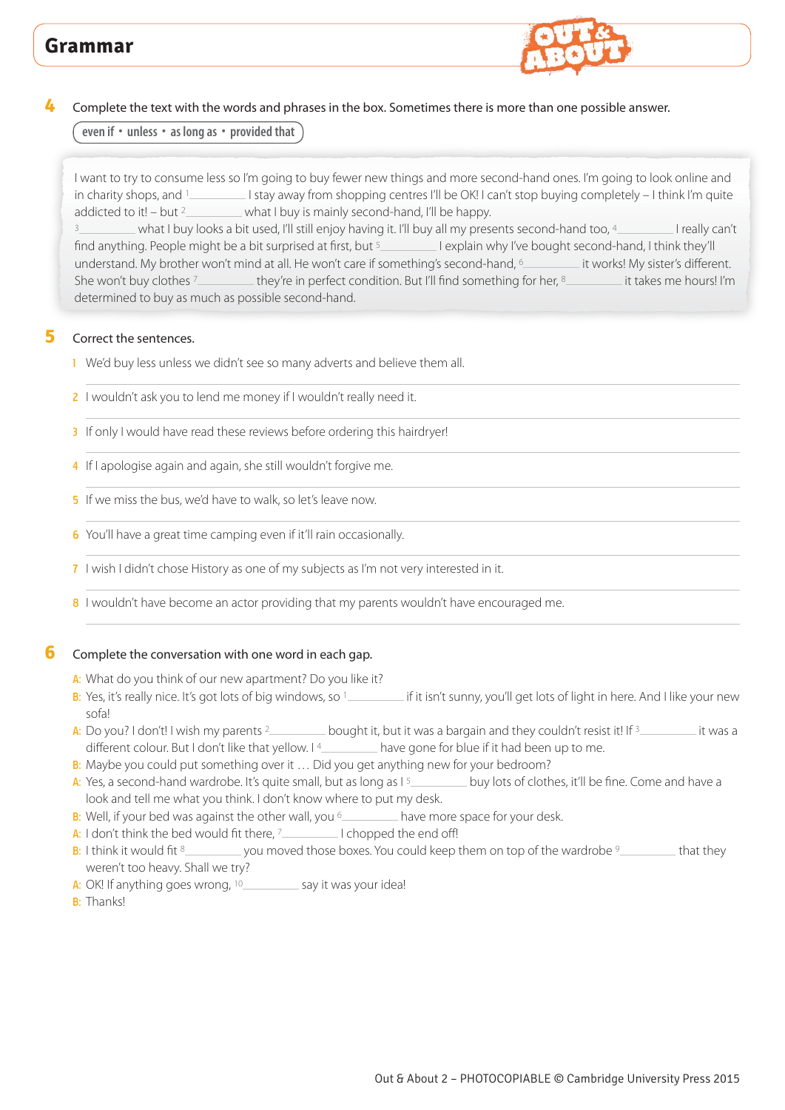

### **4** Complete the text with the words and phrases in the box. Sometimes there is more than one possible answer.

**even if • unless • as long as • provided that**

I want to try to consume less so I'm going to buy fewer new things and more second-hand ones. I'm going to look online and in charity shops, and 1 Istay away from shopping centres I'll be OK! I can't stop buying completely – I think I'm quite addicted to it! – but  $2 \sim$  what I buy is mainly second-hand, I'll be happy.

what I buy looks a bit used, I'll still enjoy having it. I'll buy all my presents second-hand too, 4 I really can't find anything. People might be a bit surprised at first, but <sup>5</sup> I explain why I've bought second-hand, I think they'll understand. My brother won't mind at all. He won't care if something's second-hand, 6 it works! My sister's different. She won't buy clothes <sup>7</sup> they're in perfect condition. But I'll find something for her, 8 it takes me hours! I'm determined to buy as much as possible second-hand.

### **5** Correct the sentences.

- <sup>1</sup> We'd buy less unless we didn't see so many adverts and believe them all.
- 2 I wouldn't ask you to lend me money if I wouldn't really need it.
- 3 If only I would have read these reviews before ordering this hairdryer!
- 4 If I apologise again and again, she still wouldn't forgive me.
- 5 If we miss the bus, we'd have to walk, so let's leave now.
- 6 You'll have a great time camping even if it'll rain occasionally.
- 7 I wish I didn't chose History as one of my subjects as I'm not very interested in it.
- 8 I wouldn't have become an actor providing that my parents wouldn't have encouraged me.

## **6** Complete the conversation with one word in each gap.

- A: What do you think of our new apartment? Do you like it?
- B: Yes, it's really nice. It's got lots of big windows, so 1 \_\_\_\_\_\_\_\_\_ if it isn't sunny, you'll get lots of light in here. And I like your new sofa!
- A: Do you? I don't! I wish my parents  $2 \sim$  bought it, but it was a bargain and they couldn't resist it! If  $3 \sim$  it was a different colour. But I don't like that yellow. I<sup>4</sup> have gone for blue if it had been up to me.
- B: Maybe you could put something over it ... Did you get anything new for your bedroom?
- A: Yes, a second-hand wardrobe. It's quite small, but as long as I<sup>5</sup> buy lots of clothes, it'll be fine. Come and have a look and tell me what you think. I don't know where to put my desk.
- B: Well, if your bed was against the other wall, you  $\frac{6}{10}$  have more space for your desk.
- A: I don't think the bed would fit there,  $7 \leq 1$  chopped the end off!
- $B:$  I think it would fit  $8$  you moved those boxes. You could keep them on top of the wardrobe  $9$  that they weren't too heavy. Shall we try?
- A: OK! If anything goes wrong,  $10$  say it was your idea!

B: Thanks!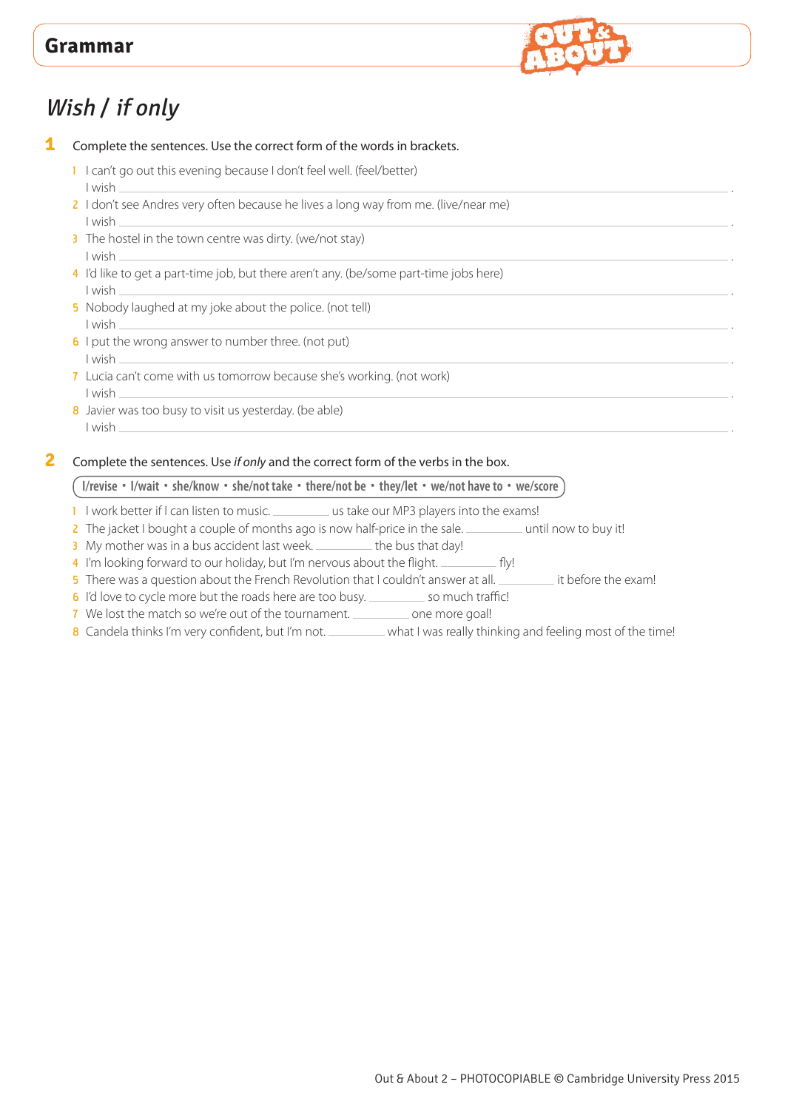

# Wish / if only

**1** Complete the sentences. Use the correct form of the words in brackets.

- 1 I can't go out this evening because I don't feel well. (feel/better)
- I wish . 2 I don't see Andres very often because he lives a long way from me. (live/near me) I wish .
- 3 The hostel in the town centre was dirty. (we/not stay) I wish .
- 4 I'd like to get a part-time job, but there aren't any. (be/some part-time jobs here) I wish .
- 5 Nobody laughed at my joke about the police. (not tell) I wish .
- 6 I put the wrong answer to number three. (not put) I wish .
- 7 Lucia can't come with us tomorrow because she's working. (not work) I wish .
- 8 Javier was too busy to visit us yesterday. (be able) I wish .

#### **2** Complete the sentences. Use *if only* and the correct form of the verbs in the box.

#### **I/revise • I/wait • she/know • she/not take • there/not be • they/let • we/not have to • we/score**

- 1 I work better if I can listen to music. \_\_\_\_\_\_\_\_\_\_ us take our MP3 players into the exams!
- 2 The jacket I bought a couple of months ago is now half-price in the sale. \_\_\_\_\_\_\_\_\_\_ until now to buy it!
- 3 My mother was in a bus accident last week. \_\_\_\_\_\_\_\_ the bus that day!
- 4 I'm looking forward to our holiday, but I'm nervous about the flight. \_\_\_\_\_\_\_\_\_\_ fly!
- 5 There was a question about the French Revolution that I couldn't answer at all. \_\_\_\_\_\_\_\_\_\_\_ it before the exam!
- 6 I'd love to cycle more but the roads here are too busy. \_\_\_\_\_\_\_\_\_ so much traffic!
- 7 We lost the match so we're out of the tournament. \_\_\_\_\_\_\_\_\_\_ one more goal!
- 8 Candela thinks I'm very confident, but I'm not. \_\_\_\_\_\_\_\_\_ what I was really thinking and feeling most of the time!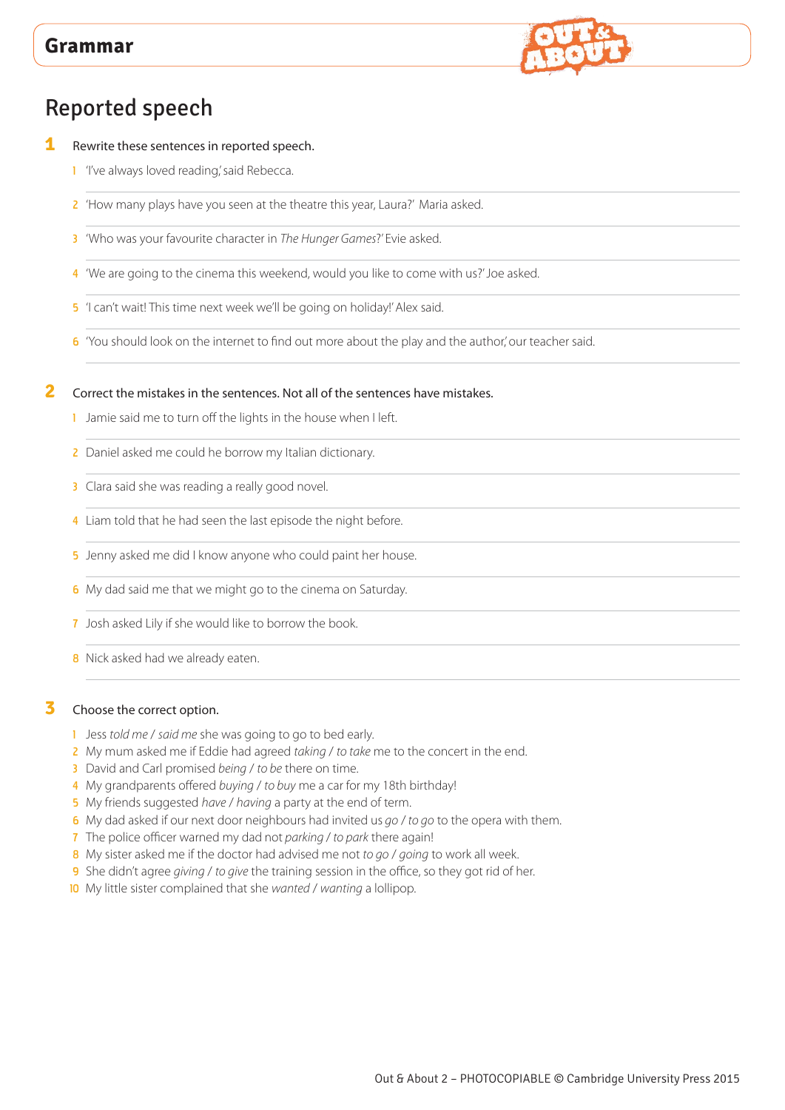

# Reported speech

- **1** Rewrite these sentences in reported speech.
	- 1 'I've always loved reading,' said Rebecca.
	- 2 'How many plays have you seen at the theatre this year, Laura?' Maria asked.
	- 3 'Who was your favourite character in *The Hunger Games*?' Evie asked.
	- 4 'We are going to the cinema this weekend, would you like to come with us?' Joe asked.
	- 5 'I can't wait! This time next week we'll be going on holiday!' Alex said.
	- 6 'You should look on the internet to find out more about the play and the author,' our teacher said.

#### **2** Correct the mistakes in the sentences. Not all of the sentences have mistakes.

- 1 Jamie said me to turn off the lights in the house when I left.
- 2 Daniel asked me could he borrow my Italian dictionary.
- 3 Clara said she was reading a really good novel.
- 4 Liam told that he had seen the last episode the night before.
- 5 Jenny asked me did I know anyone who could paint her house.
- 6 My dad said me that we might go to the cinema on Saturday.
- 7 Josh asked Lily if she would like to borrow the book.
- **8** Nick asked had we already eaten.

#### **3** Choose the correct option.

- 1 Jess *told me* / *said me* she was going to go to bed early.
- 2 My mum asked me if Eddie had agreed *taking* / *to take* me to the concert in the end.
- 3 David and Carl promised *being* / *to be* there on time.
- 4 My grandparents offered *buying* / *to buy* me a car for my 18th birthday!
- 5 My friends suggested *have* / *having* a party at the end of term.
- 6 My dad asked if our next door neighbours had invited us *go* / *to go* to the opera with them.
- 7 The police officer warned my dad not *parking* / *to park* there again!
- 8 My sister asked me if the doctor had advised me not *to go* / *going* to work all week.
- 9 She didn't agree *giving* / *to give* the training session in the office, so they got rid of her.
- 10 My little sister complained that she *wanted* / *wanting* a lollipop.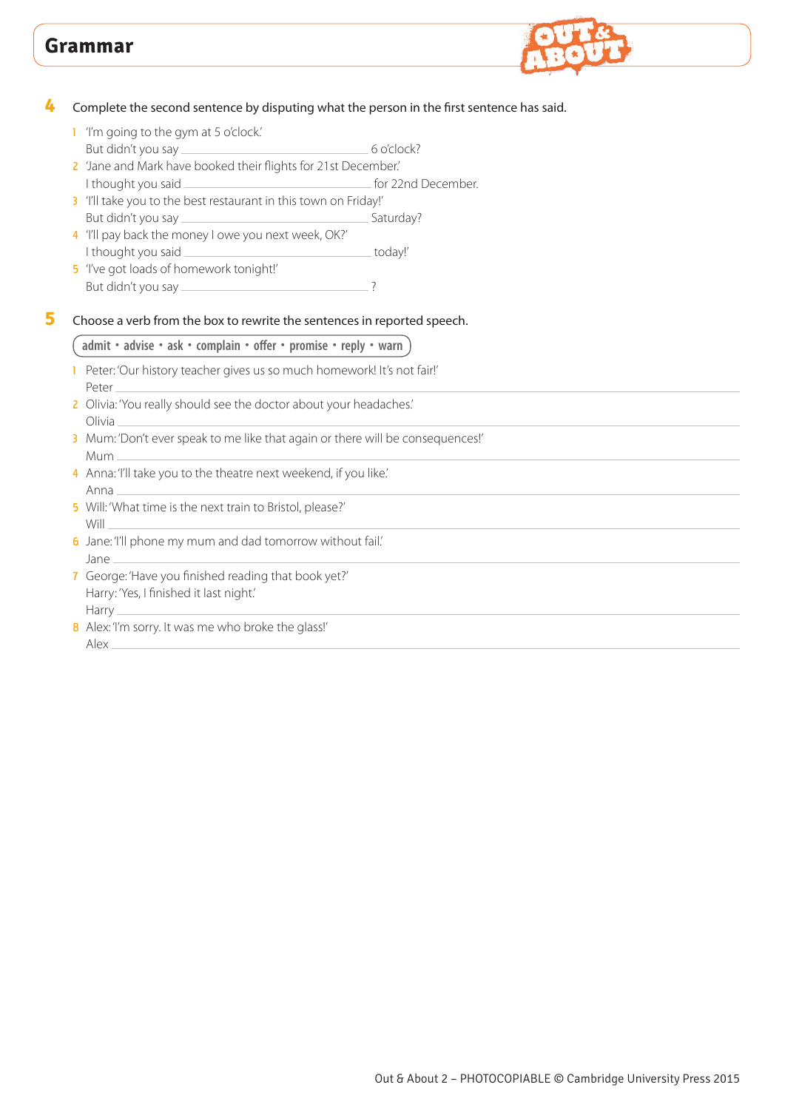

**4** Complete the second sentence by disputing what the person in the first sentence has said.

- 1 'I'm going to the gym at 5 o'clock.'
- But didn't you say <u>entitled</u> and the set of o'clock? 2 'Jane and Mark have booked their flights for 21st December.'
- I thought you said **for 22nd December.**
- 3 'I'll take you to the best restaurant in this town on Friday!' But didn't you say Saturday?
- 4 'I'll pay back the money I owe you next week, OK?' I thought you said \_\_\_\_\_\_\_\_\_\_\_\_\_\_\_\_\_\_\_\_\_\_\_\_\_\_\_\_\_\_\_\_\_\_today!'
- 5 'I've got loads of homework tonight!' But didn't you say ?
- **5** Choose a verb from the box to rewrite the sentences in reported speech.

#### **admit • advise • ask • complain • offer • promise • reply • warn**

- 1 Peter: 'Our history teacher gives us so much homework! It's not fair!' Peter
- 2 Olivia: 'You really should see the doctor about your headaches.' Olivia
- 3 Mum: 'Don't ever speak to me like that again or there will be consequences!' Mum
- 4 Anna: 'I'll take you to the theatre next weekend, if you like.' Anna
- 5 Will: 'What time is the next train to Bristol, please?' Will
- 6 Jane: 'I'll phone my mum and dad tomorrow without fail.' Jane
- 7 George: 'Have you finished reading that book yet?' Harry: 'Yes, I finished it last night.' Harry\_
- 8 Alex: 'I'm sorry. It was me who broke the glass!' Alex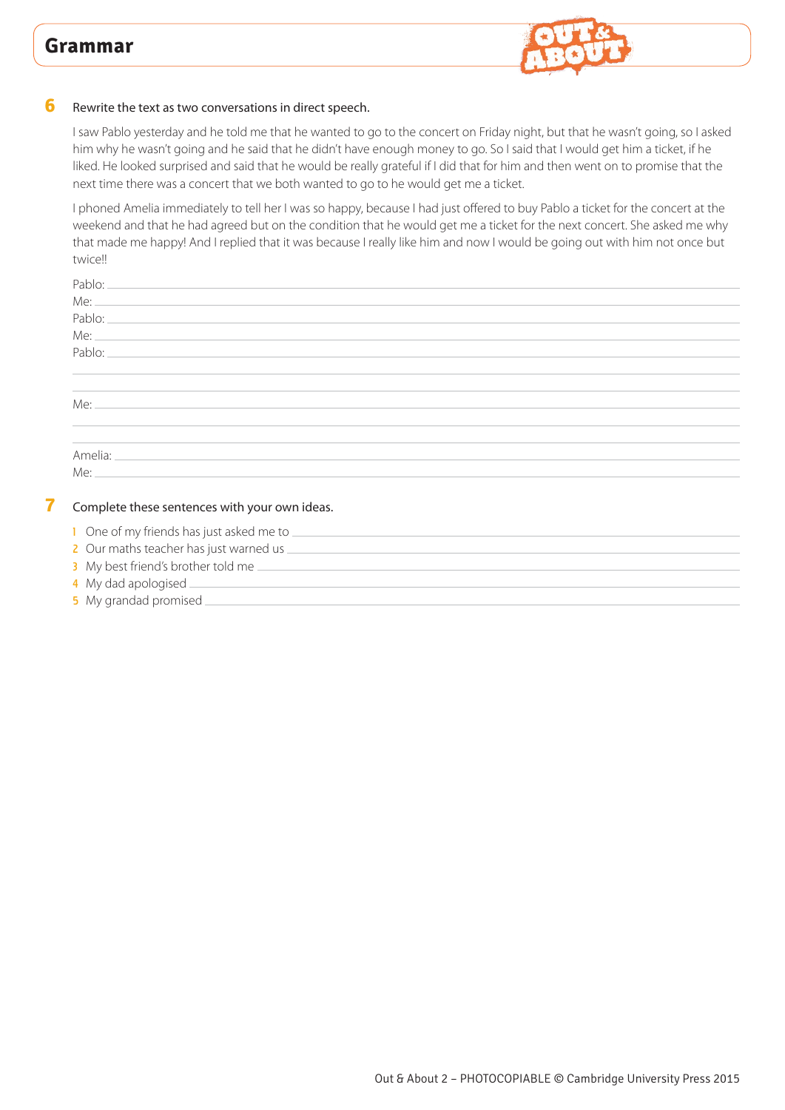

#### **6** Rewrite the text as two conversations in direct speech.

I saw Pablo yesterday and he told me that he wanted to go to the concert on Friday night, but that he wasn't going, so I asked him why he wasn't going and he said that he didn't have enough money to go. So I said that I would get him a ticket, if he liked. He looked surprised and said that he would be really grateful if I did that for him and then went on to promise that the next time there was a concert that we both wanted to go to he would get me a ticket.

I phoned Amelia immediately to tell her I was so happy, because I had just offered to buy Pablo a ticket for the concert at the weekend and that he had agreed but on the condition that he would get me a ticket for the next concert. She asked me why that made me happy! And I replied that it was because I really like him and now I would be going out with him not once but twice!!

| Pablo:<br>the contract of the contract of the contract of the contract of the contract of the contract of the                                                                                                                                                                                                           |  |  |
|-------------------------------------------------------------------------------------------------------------------------------------------------------------------------------------------------------------------------------------------------------------------------------------------------------------------------|--|--|
| $Me:$ $\frac{1}{2}$ $\frac{1}{2}$ $\frac{1}{2}$ $\frac{1}{2}$ $\frac{1}{2}$ $\frac{1}{2}$ $\frac{1}{2}$ $\frac{1}{2}$ $\frac{1}{2}$ $\frac{1}{2}$ $\frac{1}{2}$ $\frac{1}{2}$ $\frac{1}{2}$ $\frac{1}{2}$ $\frac{1}{2}$ $\frac{1}{2}$ $\frac{1}{2}$ $\frac{1}{2}$ $\frac{1}{2}$ $\frac{1}{2}$ $\frac{1}{2}$ $\frac{1}{$ |  |  |
|                                                                                                                                                                                                                                                                                                                         |  |  |
|                                                                                                                                                                                                                                                                                                                         |  |  |
|                                                                                                                                                                                                                                                                                                                         |  |  |
| <b>Contract Contract</b>                                                                                                                                                                                                                                                                                                |  |  |
| $\mathcal{L}^{\mathcal{L}}$ and $\mathcal{L}^{\mathcal{L}}$ .                                                                                                                                                                                                                                                           |  |  |
|                                                                                                                                                                                                                                                                                                                         |  |  |
| $\mathcal{L}^{\text{max}}$ and $\mathcal{L}^{\text{max}}$                                                                                                                                                                                                                                                               |  |  |
|                                                                                                                                                                                                                                                                                                                         |  |  |
|                                                                                                                                                                                                                                                                                                                         |  |  |
| Me:                                                                                                                                                                                                                                                                                                                     |  |  |
|                                                                                                                                                                                                                                                                                                                         |  |  |

#### **7** Complete these sentences with your own ideas.

- 1 One of my friends has just asked me to  $\equiv$
- 2 Our maths teacher has just warned us \_\_\_
- 3 My best friend's brother told me
- 4 My dad apologised.
- 5 My grandad promised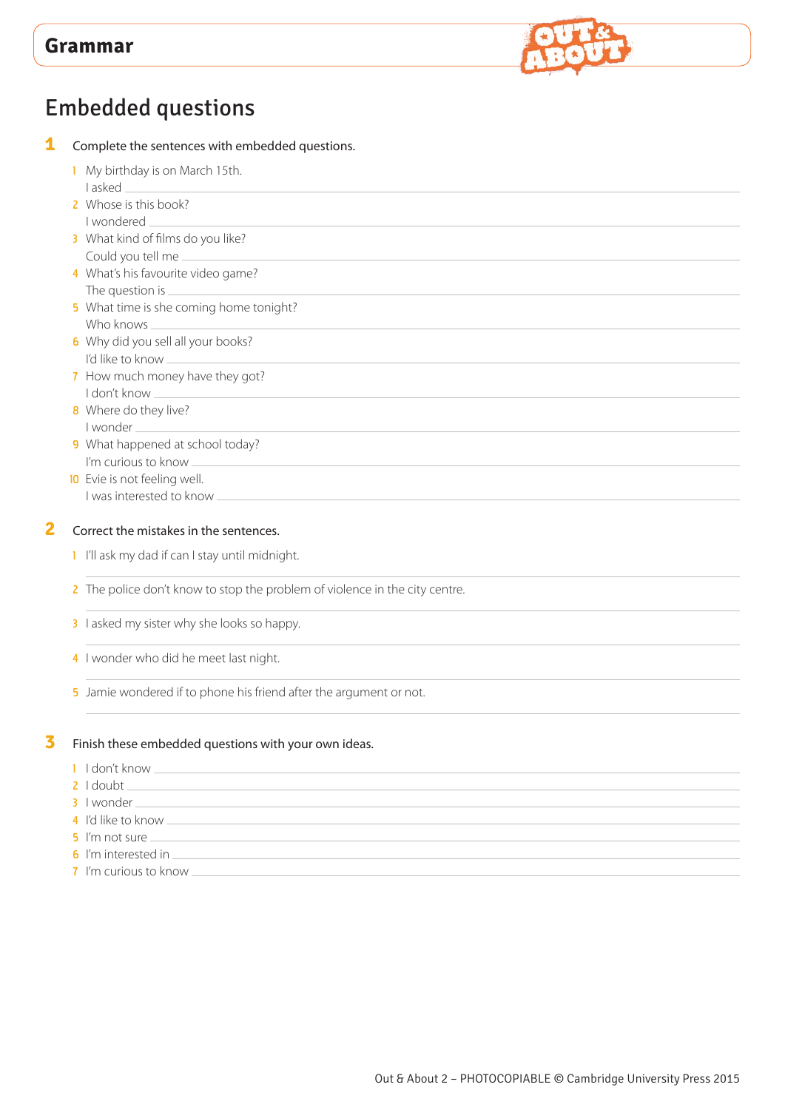

# Embedded questions

| 1 | Complete the sentences with embedded questions.                                                                                                                                                                                      |
|---|--------------------------------------------------------------------------------------------------------------------------------------------------------------------------------------------------------------------------------------|
|   | My birthday is on March 15th.                                                                                                                                                                                                        |
|   | 2 Whose is this book?                                                                                                                                                                                                                |
|   | I wondered                                                                                                                                                                                                                           |
|   | 3 What kind of films do you like?<br>Could you tell me                                                                                                                                                                               |
|   | 4 What's his favourite video game?                                                                                                                                                                                                   |
|   |                                                                                                                                                                                                                                      |
|   | 5 What time is she coming home tonight?<br>Who knows _<br><u> 1989 - Johann Barbara, martxa alemaniar a</u>                                                                                                                          |
|   | 6 Why did you sell all your books?                                                                                                                                                                                                   |
|   | 7 How much money have they got?<br>I don't know _<br><u> 1980 - Johann Stein, marwolaethau a bhann an t-Amhair an t-Amhair an t-Amhair an t-Amhair an t-Amhair an t-A</u>                                                            |
|   | 8 Where do they live?                                                                                                                                                                                                                |
|   | 9 What happened at school today?                                                                                                                                                                                                     |
|   | I'm curious to know                                                                                                                                                                                                                  |
|   | 10 Evie is not feeling well.                                                                                                                                                                                                         |
|   | I was interested to know <b>with a set of the set of the set of the set of the set of the set of the set of the set of the set of the set of the set of the set of the set of the set of the set of the set of the set of the se</b> |
| 2 | Correct the mistakes in the sentences.                                                                                                                                                                                               |
|   | I I'll ask my dad if can I stay until midnight.                                                                                                                                                                                      |
|   | 2 The police don't know to stop the problem of violence in the city centre.                                                                                                                                                          |
|   | 3 lasked my sister why she looks so happy.                                                                                                                                                                                           |

4 I wonder who did he meet last night.

5 Jamie wondered if to phone his friend after the argument or not.

### **3** Finish these embedded questions with your own ideas.

- 1 I don't know  $\equiv$
- $2$  I doubt  $-$
- 3 I wonder
- 4 I'd like to know
- 5 I'm not sure \_
- 6 I'm interested in  $-$
- 7 I'm curious to know  $\equiv$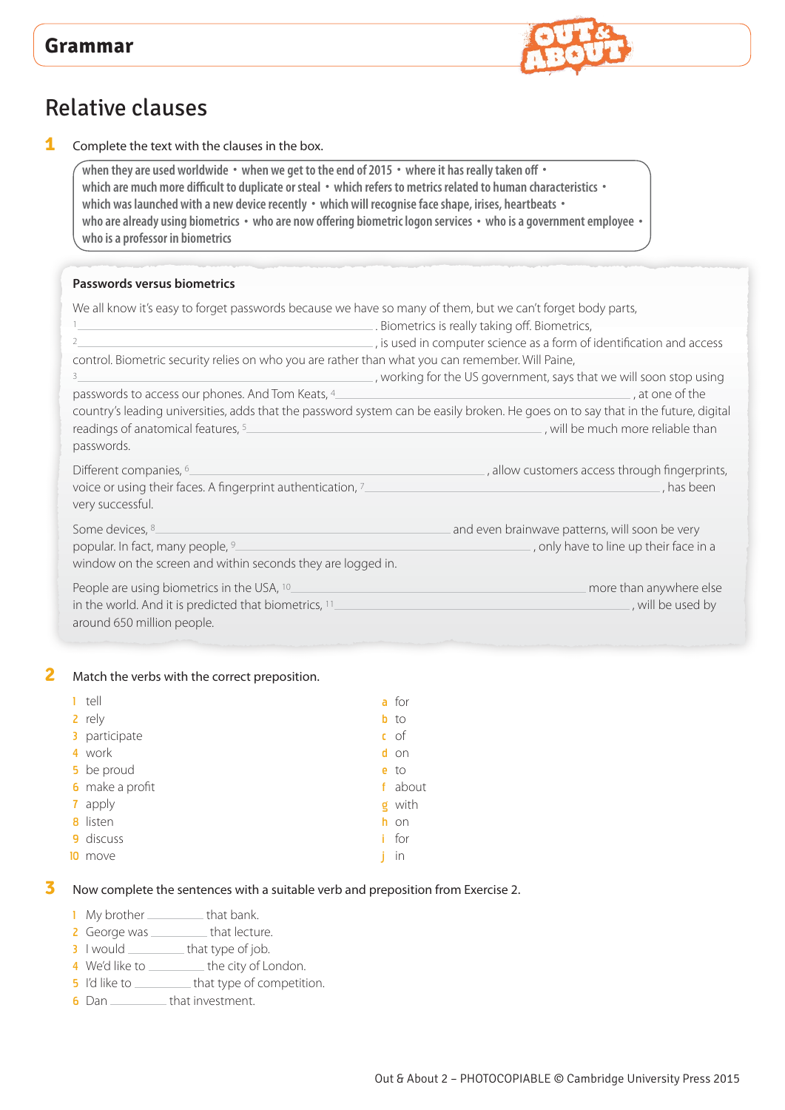

# Relative clauses

**1** Complete the text with the clauses in the box.

**when they are used worldwide • when we get to the end of 2015 • where it has really taken off • which are much more difficult to duplicate or steal • which refers to metrics related to human characteristics • which was launched with a new device recently • which will recognise face shape, irises, heartbeats • who are already using biometrics • who are now offering biometric logon services • who is a government employee • who is a professor in biometrics** 

#### **Passwords versus biometrics**

| We all know it's easy to forget passwords because we have so many of them, but we can't forget body parts,                        |                                                                                                                                                                         |
|-----------------------------------------------------------------------------------------------------------------------------------|-------------------------------------------------------------------------------------------------------------------------------------------------------------------------|
|                                                                                                                                   | Biometrics is really taking off. Biometrics,                                                                                                                            |
|                                                                                                                                   | , is used in computer science as a form of identification and access                                                                                                    |
| control. Biometric security relies on who you are rather than what you can remember. Will Paine,                                  |                                                                                                                                                                         |
| 3                                                                                                                                 | , working for the US government, says that we will soon stop using                                                                                                      |
| passwords to access our phones. And Tom Keats, 4                                                                                  | at one of the                                                                                                                                                           |
| readings of anatomical features, 5<br>passwords.                                                                                  | country's leading universities, adds that the password system can be easily broken. He goes on to say that in the future, digital<br>_, will be much more reliable than |
| Different companies, <sup>6</sup> .<br>voice or using their faces. A fingerprint authentication, 7<br>very successful.            | , allow customers access through fingerprints,<br>has been                                                                                                              |
| Some devices, 8.<br>popular. In fact, many people, 9<br>window on the screen and within seconds they are logged in.               | and even brainwave patterns, will soon be very<br>, only have to line up their face in a                                                                                |
| People are using biometrics in the USA, 10<br>in the world. And it is predicted that biometrics, 11<br>around 650 million people. | more than anywhere else<br>, will be used by                                                                                                                            |

#### **2** Match the verbs with the correct preposition.

| T. | tell            |   | a for  |
|----|-----------------|---|--------|
|    | 2 rely          |   | $b$ to |
|    | 3 participate   |   | $c$ of |
|    | 4 work          |   | d on   |
|    | 5 be proud      |   | $e$ to |
|    | 6 make a profit | f | about  |
|    | 7 apply         | g | with   |
|    | 8 listen        |   | h on   |
|    | 9 discuss       | Ĺ | for    |
| 10 | move            |   | in     |

#### **3** Now complete the sentences with a suitable verb and preposition from Exercise 2.

- 1 My brother \_\_\_\_\_\_\_\_\_\_ that bank.
- 2 George was \_\_\_\_\_\_\_\_\_\_ that lecture.
- 3 I would \_\_\_\_\_\_\_\_\_\_ that type of job.
- 4 We'd like to \_\_\_\_\_\_\_\_\_\_ the city of London.
- 5 I'd like to \_\_\_\_\_\_\_\_\_\_\_ that type of competition.
- $\overline{\mathbf{6}}$  Dan  $\overline{\mathbf{6}}$  Dan  $\overline{\mathbf{6}}$  that investment.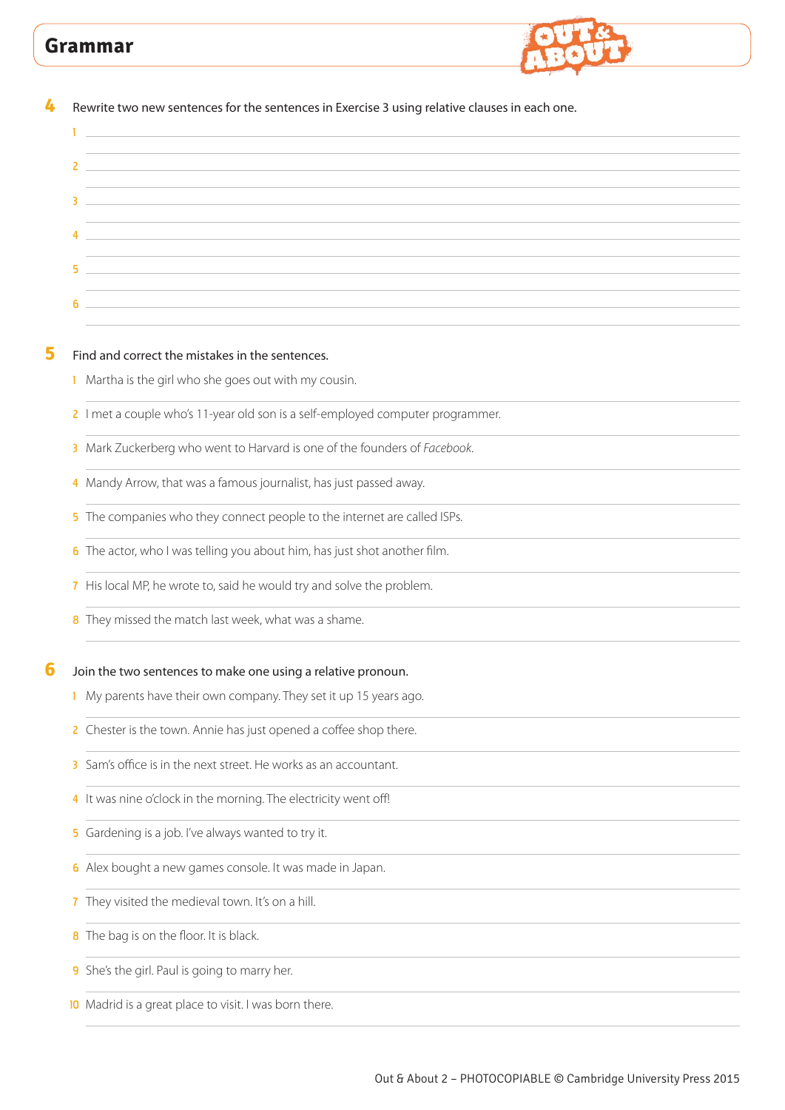

| Rewrite two new sentences for the sentences in Exercise 3 using relative clauses in each one.<br><u> 1989 - Johann Harry Harry Harry Harry Harry Harry Harry Harry Harry Harry Harry Harry Harry Harry Harry Harry</u> |
|------------------------------------------------------------------------------------------------------------------------------------------------------------------------------------------------------------------------|
| <u> 1989 - Andrea Stadt Britain, amerikansk politiker (</u>                                                                                                                                                            |
|                                                                                                                                                                                                                        |
| 3                                                                                                                                                                                                                      |
| <u> 1989 - Johann Stoff, amerikansk politiker (* 1908)</u>                                                                                                                                                             |
| 5<br>and the control of the control of the control of the control of the control of the control of the control of the                                                                                                  |
| 6                                                                                                                                                                                                                      |
|                                                                                                                                                                                                                        |
| Find and correct the mistakes in the sentences.<br>I Martha is the girl who she goes out with my cousin.                                                                                                               |
|                                                                                                                                                                                                                        |
| 2 I met a couple who's 11-year old son is a self-employed computer programmer.                                                                                                                                         |
| Mark Zuckerberg who went to Harvard is one of the founders of Facebook.<br>3.                                                                                                                                          |
| 4 Mandy Arrow, that was a famous journalist, has just passed away.                                                                                                                                                     |
| 5 The companies who they connect people to the internet are called ISPs.                                                                                                                                               |
| 6 The actor, who I was telling you about him, has just shot another film.                                                                                                                                              |
| 7 His local MP, he wrote to, said he would try and solve the problem.                                                                                                                                                  |
| 8 They missed the match last week, what was a shame.                                                                                                                                                                   |
| Join the two sentences to make one using a relative pronoun.                                                                                                                                                           |
| 1 My parents have their own company. They set it up 15 years ago.                                                                                                                                                      |
| Chester is the town. Annie has just opened a coffee shop there.<br>2.                                                                                                                                                  |
| Sam's office is in the next street. He works as an accountant.<br>3.                                                                                                                                                   |
| 4 It was nine o'clock in the morning. The electricity went off!                                                                                                                                                        |
| 5 Gardening is a job. I've always wanted to try it.                                                                                                                                                                    |

- 6 Alex bought a new games console. It was made in Japan.
- 7 They visited the medieval town. It's on a hill.
- 8 The bag is on the floor. It is black.
- 9 She's the girl. Paul is going to marry her.
- 10 Madrid is a great place to visit. I was born there.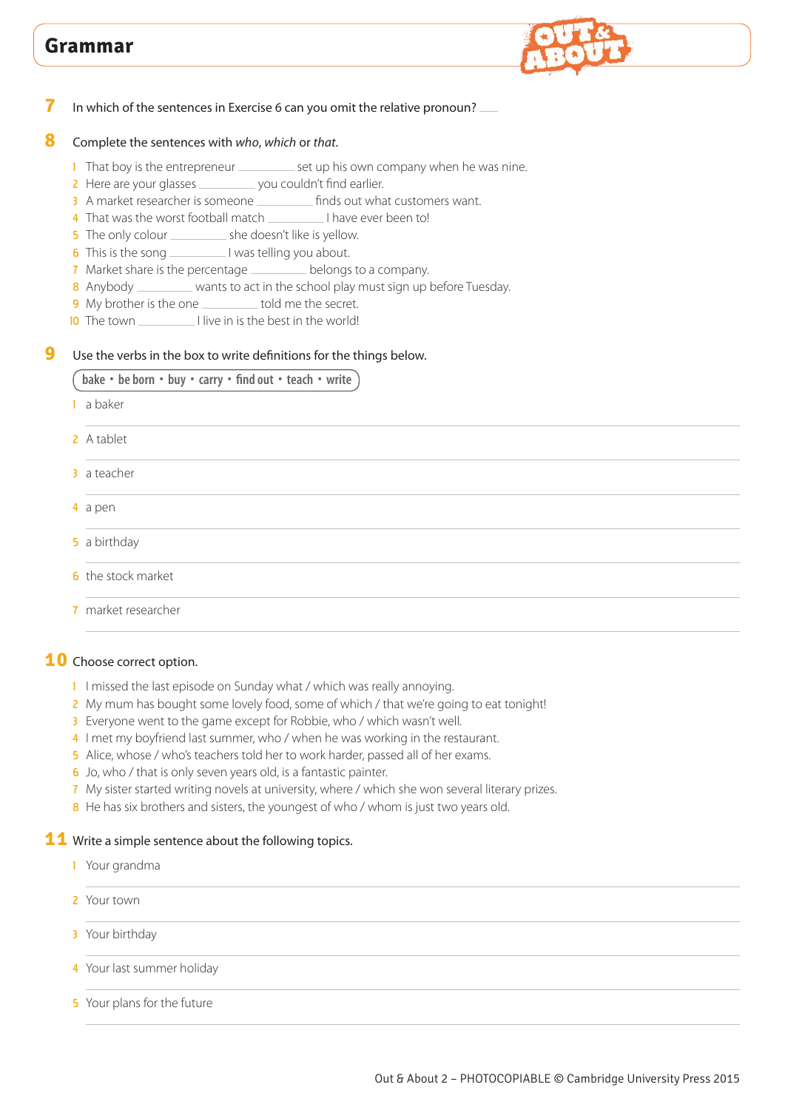

### **7** In which of the sentences in Exercise 6 can you omit the relative pronoun?

### **8** Complete the sentences with *who*, *which* or *that*.

- 1 That boy is the entrepreneur \_\_\_\_\_\_\_\_\_\_\_ set up his own company when he was nine.
- 2 Here are your glasses \_\_\_\_\_\_\_\_\_\_ you couldn't find earlier.
- 3 A market researcher is someone finds out what customers want.
- 4 That was the worst football match I have ever been to!
- 5 The only colour \_\_\_\_\_\_\_\_\_\_\_ she doesn't like is yellow.
- 6 This is the song I was telling you about.
- **7** Market share is the percentage belongs to a company.
- 8 Anybody \_\_\_\_\_\_\_\_ wants to act in the school play must sign up before Tuesday.
- 9 My brother is the one \_\_\_\_\_\_\_\_\_ told me the secret.
- 10 The town I live in is the best in the world!

### **9** Use the verbs in the box to write definitions for the things below.

### **bake • be born • buy • carry • find out • teach • write**

- 1 a baker
- 2 A tablet
- 3 a teacher
- 4 a pen
- **5** a birthday
- **6** the stock market
- 7 market researcher

### **10** Choose correct option.

- 1 I missed the last episode on Sunday what / which was really annoying.
- 2 My mum has bought some lovely food, some of which / that we're going to eat tonight!
- 3 Everyone went to the game except for Robbie, who / which wasn't well.
- 4 I met my boyfriend last summer, who / when he was working in the restaurant.
- 5 Alice, whose / who's teachers told her to work harder, passed all of her exams.
- 6 Jo, who / that is only seven years old, is a fantastic painter.
- 7 My sister started writing novels at university, where / which she won several literary prizes.
- 8 He has six brothers and sisters, the youngest of who / whom is just two years old.

#### **11** Write a simple sentence about the following topics.

- 1 Your grandma
- 2 Your town
- 3 Your birthday
- 4 Your last summer holiday
- 5 Your plans for the future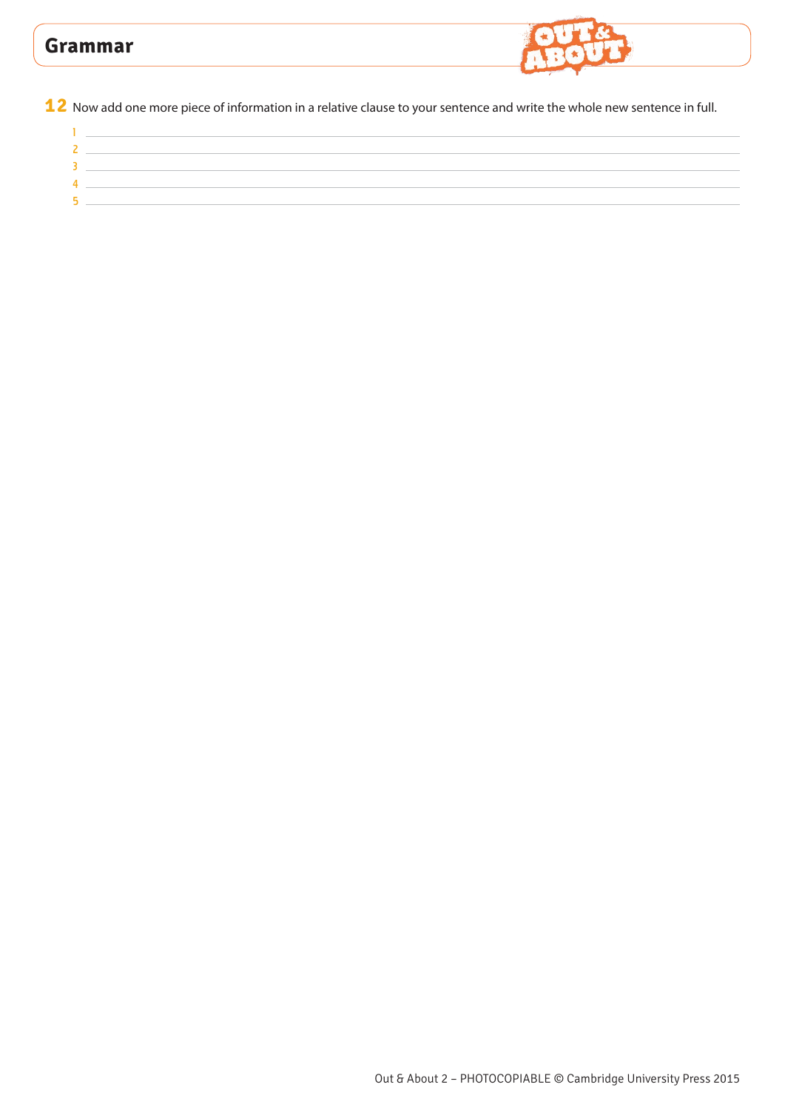

Now add one more piece of information in a relative clause to your sentence and write the whole new sentence in full.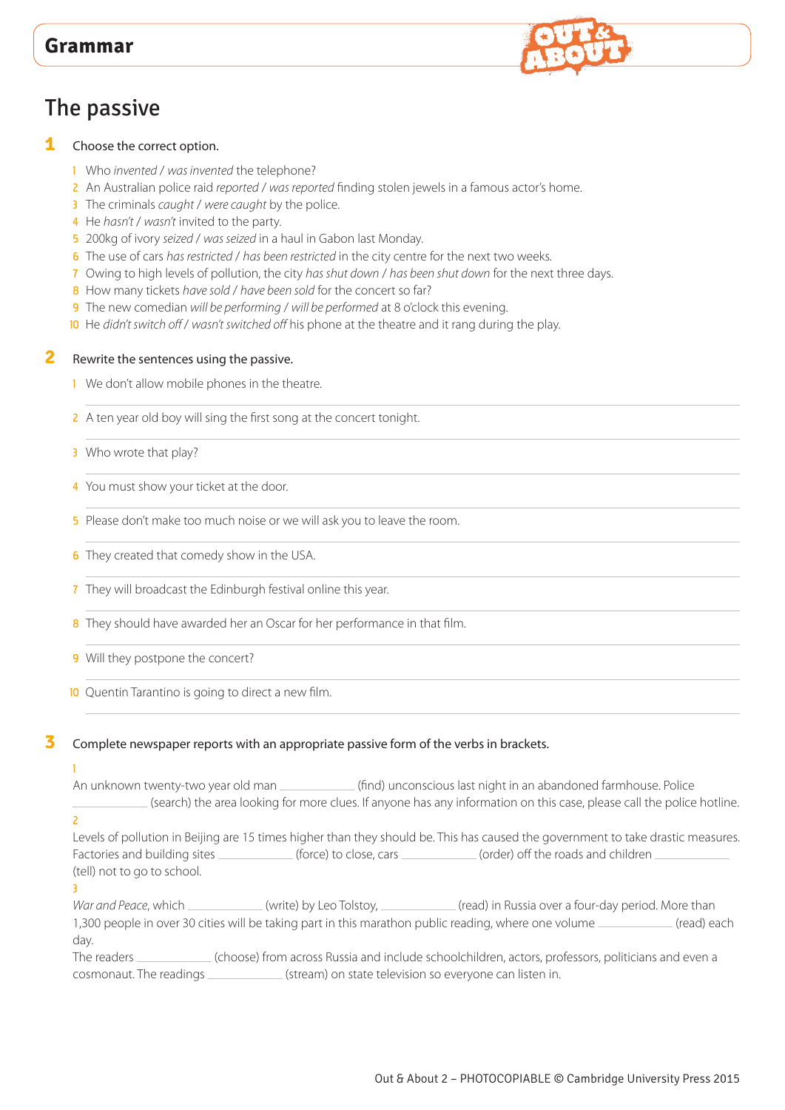# The passive

#### **1** Choose the correct option.

- 1 Who *invented* / *was invented* the telephone?
- 2 An Australian police raid *reported* / *was reported* finding stolen jewels in a famous actor's home.
- 3 The criminals *caught* / *were caught* by the police.
- 4 He *hasn't* / *wasn't* invited to the party.
- 5 200kg of ivory *seized* / *was seized* in a haul in Gabon last Monday.
- 6 The use of cars *has restricted* / *has been restricted* in the city centre for the next two weeks.
- 7 Owing to high levels of pollution, the city *has shut down* / *has been shut down* for the next three days.
- 8 How many tickets *have sold / have been sold* for the concert so far?
- 9 The new comedian *will be performing* / *will be performed* at 8 o'clock this evening.
- 10 He *didn't switch off* / *wasn't switched off* his phone at the theatre and it rang during the play.

#### **2** Rewrite the sentences using the passive.

- 1 We don't allow mobile phones in the theatre.
- 2 A ten year old boy will sing the first song at the concert tonight.
- 3 Who wrote that play?
- 4 You must show your ticket at the door.
- 5 Please don't make too much noise or we will ask you to leave the room.
- **6** They created that comedy show in the USA.
- **7** They will broadcast the Edinburgh festival online this year.
- 8 They should have awarded her an Oscar for her performance in that film.
- 9 Will they postpone the concert?
- 10 Quentin Tarantino is going to direct a new film.
- 

### **3** Complete newspaper reports with an appropriate passive form of the verbs in brackets.

## 1

An unknown twenty-two year old man \_\_\_\_\_\_\_\_\_\_\_\_(find) unconscious last night in an abandoned farmhouse. Police (search) the area looking for more clues. If anyone has any information on this case, please call the police hotline.

#### $\overline{a}$

Levels of pollution in Beijing are 15 times higher than they should be. This has caused the government to take drastic measures. Factories and building sites (force) to close, cars (order) off the roads and children  $\equiv$ (tell) not to go to school.

#### 3

War and Peace, which (write) by Leo Tolstoy, (read) in Russia over a four-day period. More than 1,300 people in over 30 cities will be taking part in this marathon public reading, where one volume (read) each day.

The readers (choose) from across Russia and include schoolchildren, actors, professors, politicians and even a cosmonaut. The readings (stream) on state television so everyone can listen in.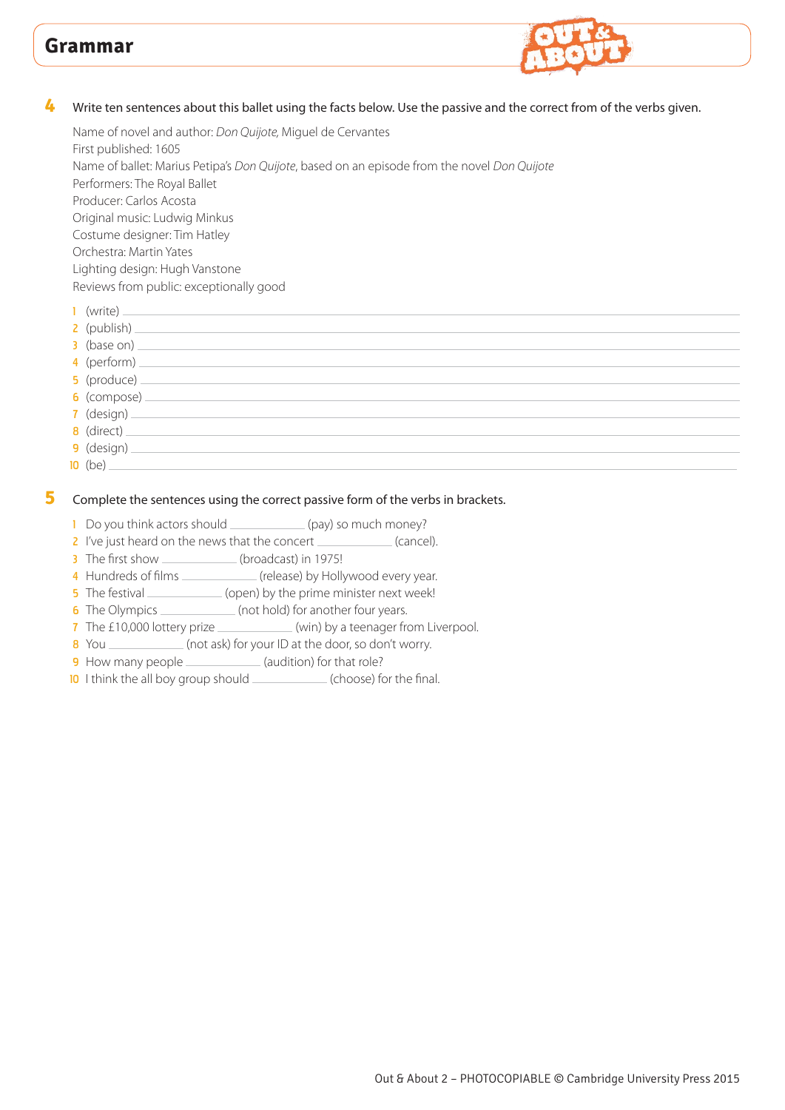

#### **4** Write ten sentences about this ballet using the facts below. Use the passive and the correct from of the verbs given.

Name of novel and author: *Don Quijote,* Miguel de Cervantes First published: 1605 Name of ballet: Marius Petipa's *Don Quijote*, based on an episode from the novel *Don Quijote* Performers: The Royal Ballet Producer: Carlos Acosta Original music: Ludwig Minkus Costume designer: Tim Hatley Orchestra: Martin Yates Lighting design: Hugh Vanstone Reviews from public: exceptionally good 1 (write)

| (write) _______________ |
|-------------------------|
|                         |
| $3$ (base on)           |
|                         |
|                         |
|                         |
|                         |
|                         |
| $9$ (design) $-$        |
| $10$ (be) $\_\_$        |
|                         |

#### **5** Complete the sentences using the correct passive form of the verbs in brackets.

- 1 Do you think actors should \_\_\_\_\_\_\_\_\_\_\_\_\_(pay) so much money?
- 2 I've just heard on the news that the concert (cancel).
- 3 The first show \_\_\_\_\_\_\_\_\_\_\_\_(broadcast) in 1975!
- 4 Hundreds of films \_\_\_\_\_\_\_\_\_\_\_\_\_ (release) by Hollywood every year.
- 5 The festival \_\_\_\_\_\_\_\_\_\_\_\_\_\_(open) by the prime minister next week!
- 6 The Olympics \_\_\_\_\_\_\_\_\_\_\_(not hold) for another four years.
- 7 The £10,000 lottery prize \_\_\_\_\_\_\_\_\_\_\_\_\_ (win) by a teenager from Liverpool.
- 8 You (not ask) for your ID at the door, so don't worry.
- 9 How many people \_\_\_\_\_\_\_\_\_\_\_\_\_(audition) for that role?
- 10 I think the all boy group should (choose) for the final.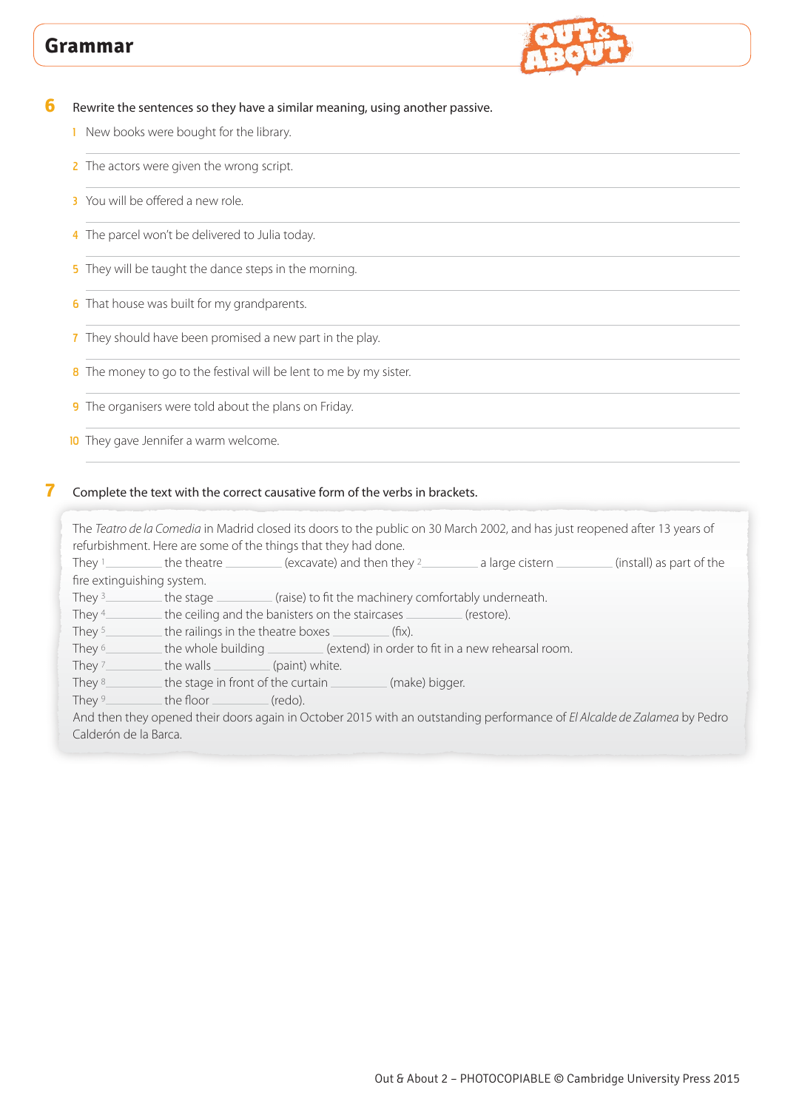

**6** Rewrite the sentences so they have a similar meaning, using another passive.

- 1 New books were bought for the library.
- 2 The actors were given the wrong script.
- 3 You will be offered a new role.
- 4 The parcel won't be delivered to Julia today.
- 5 They will be taught the dance steps in the morning.

**6** That house was built for my grandparents.

- 7 They should have been promised a new part in the play.
- 8 The money to go to the festival will be lent to me by my sister.
- 9 The organisers were told about the plans on Friday.
- **10** They gave Jennifer a warm welcome.

#### **7** Complete the text with the correct causative form of the verbs in brackets.

The *Teatro de la Comedia* in Madrid closed its doors to the public on 30 March 2002, and has just reopened after 13 years of refurbishment. Here are some of the things that they had done.

They  $1$  the theatre (excavate) and then they  $2$  a large cistern  $\Box$  (install) as part of the fire extinguishing system.

They  $3$  the stage  $\frac{1}{100}$  (raise) to fit the machinery comfortably underneath.

They  $4$  the ceiling and the banisters on the staircases  $\frac{1}{1}$  (restore).

They  $\frac{1}{2}$  the railings in the theatre boxes (fix).

They <sup>6</sup> the whole building (extend) in order to fit in a new rehearsal room.

They  $7$  the walls (paint) white.

They 8 the stage in front of the curtain (make) bigger.

They  $9$  the floor (redo).

And then they opened their doors again in October 2015 with an outstanding performance of *El Alcalde de Zalamea* by Pedro Calderón de la Barca.